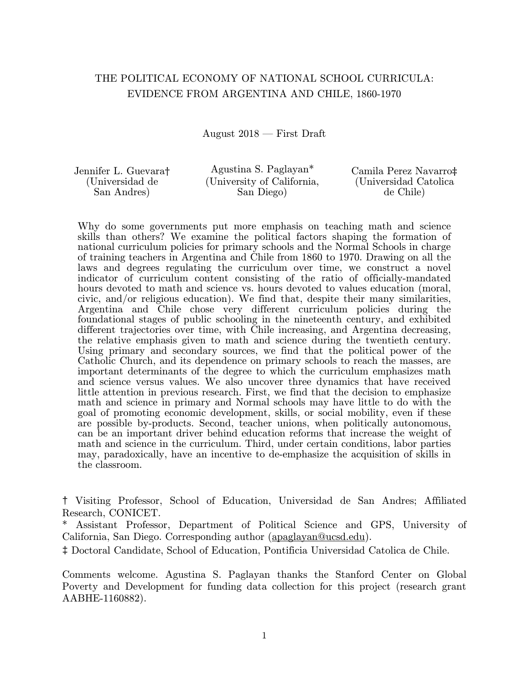# THE POLITICAL ECONOMY OF NATIONAL SCHOOL CURRICULA: EVIDENCE FROM ARGENTINA AND CHILE, 1860-1970

August  $2018$  – First Draft

| Jennifer L. Guevara† | Agustina S. Paglayan*      | Camila Perez Navarro‡  |
|----------------------|----------------------------|------------------------|
| (Universidad de      | (University of California, | (Universidad Catolica) |
| San Andres           | San Diego)                 | de Chile               |

Why do some governments put more emphasis on teaching math and science skills than others? We examine the political factors shaping the formation of national curriculum policies for primary schools and the Normal Schools in charge of training teachers in Argentina and Chile from 1860 to 1970. Drawing on all the laws and degrees regulating the curriculum over time, we construct a novel indicator of curriculum content consisting of the ratio of officially-mandated hours devoted to math and science vs. hours devoted to values education (moral, civic, and/or religious education). We find that, despite their many similarities, Argentina and Chile chose very different curriculum policies during the foundational stages of public schooling in the nineteenth century, and exhibited different trajectories over time, with Chile increasing, and Argentina decreasing, the relative emphasis given to math and science during the twentieth century. Using primary and secondary sources, we find that the political power of the Catholic Church, and its dependence on primary schools to reach the masses, are important determinants of the degree to which the curriculum emphasizes math and science versus values. We also uncover three dynamics that have received little attention in previous research. First, we find that the decision to emphasize math and science in primary and Normal schools may have little to do with the goal of promoting economic development, skills, or social mobility, even if these are possible by-products. Second, teacher unions, when politically autonomous, can be an important driver behind education reforms that increase the weight of math and science in the curriculum. Third, under certain conditions, labor parties may, paradoxically, have an incentive to de-emphasize the acquisition of skills in the classroom.

† Visiting Professor, School of Education, Universidad de San Andres; Affiliated Research, CONICET.

Assistant Professor, Department of Political Science and GPS, University of California, San Diego. Corresponding author [\(apaglayan@ucsd.edu\)](mailto:apaglayan@ucsd.edu).

‡ Doctoral Candidate, School of Education, Pontificia Universidad Catolica de Chile.

Comments welcome. Agustina S. Paglayan thanks the Stanford Center on Global Poverty and Development for funding data collection for this project (research grant AABHE-1160882).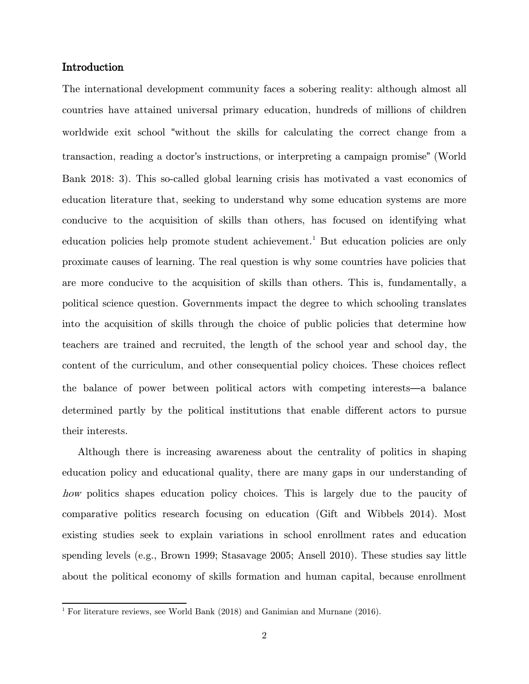# Introduction

The international development community faces a sobering reality: although almost all countries have attained universal primary education, hundreds of millions of children worldwide exit school "without the skills for calculating the correct change from a transaction, reading a doctor's instructions, or interpreting a campaign promise" (World Bank 2018: 3). This so-called global learning crisis has motivated a vast economics of education literature that, seeking to understand why some education systems are more conducive to the acquisition of skills than others, has focused on identifying what education policies help promote student achievement.<sup>[1](#page-1-0)</sup> But education policies are only proximate causes of learning. The real question is why some countries have policies that are more conducive to the acquisition of skills than others. This is, fundamentally, a political science question. Governments impact the degree to which schooling translates into the acquisition of skills through the choice of public policies that determine how teachers are trained and recruited, the length of the school year and school day, the content of the curriculum, and other consequential policy choices. These choices reflect the balance of power between political actors with competing interests—a balance determined partly by the political institutions that enable different actors to pursue their interests.

Although there is increasing awareness about the centrality of politics in shaping education policy and educational quality, there are many gaps in our understanding of how politics shapes education policy choices. This is largely due to the paucity of comparative politics research focusing on education (Gift and Wibbels 2014). Most existing studies seek to explain variations in school enrollment rates and education spending levels (e.g., Brown 1999; Stasavage 2005; Ansell 2010). These studies say little about the political economy of skills formation and human capital, because enrollment

<span id="page-1-0"></span><sup>&</sup>lt;sup>1</sup> For literature reviews, see World Bank  $(2018)$  and Ganimian and Murnane  $(2016)$ .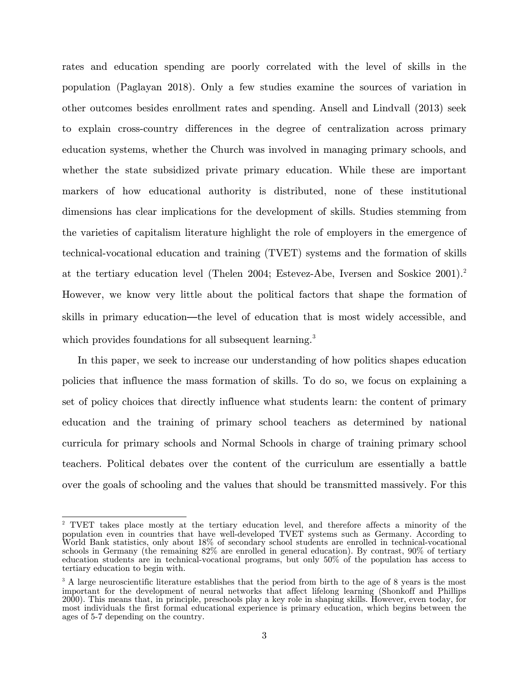rates and education spending are poorly correlated with the level of skills in the population (Paglayan 2018). Only a few studies examine the sources of variation in other outcomes besides enrollment rates and spending. Ansell and Lindvall (2013) seek to explain cross-country differences in the degree of centralization across primary education systems, whether the Church was involved in managing primary schools, and whether the state subsidized private primary education. While these are important markers of how educational authority is distributed, none of these institutional dimensions has clear implications for the development of skills. Studies stemming from the varieties of capitalism literature highlight the role of employers in the emergence of technical-vocational education and training (TVET) systems and the formation of skills at the tertiary education level (Thelen 2004; Estevez-Abe, Iversen and Soskice 2001). [2](#page-2-0) However, we know very little about the political factors that shape the formation of skills in primary education—the level of education that is most widely accessible, and which provides foundations for all subsequent learning.<sup>[3](#page-2-1)</sup>

In this paper, we seek to increase our understanding of how politics shapes education policies that influence the mass formation of skills. To do so, we focus on explaining a set of policy choices that directly influence what students learn: the content of primary education and the training of primary school teachers as determined by national curricula for primary schools and Normal Schools in charge of training primary school teachers. Political debates over the content of the curriculum are essentially a battle over the goals of schooling and the values that should be transmitted massively. For this

<span id="page-2-0"></span><sup>&</sup>lt;sup>2</sup> TVET takes place mostly at the tertiary education level, and therefore affects a minority of the population even in countries that have well-developed TVET systems such as Germany. According to World Bank statistics, only about 18% of secondary school students are enrolled in technical-vocational schools in Germany (the remaining 82% are enrolled in general education). By contrast, 90% of tertiary education students are in technical-vocational programs, but only 50% of the population has access to tertiary education to begin with.

<span id="page-2-1"></span><sup>&</sup>lt;sup>3</sup> A large neuroscientific literature establishes that the period from birth to the age of 8 years is the most important for the development of neural networks that affect lifelong learning (Shonkoff and Phillips 2000). This means that, in principle, preschools play a key role in shaping skills. However, even today, for most individuals the first formal educational experience is primary education, which begins between the ages of 5-7 depending on the country.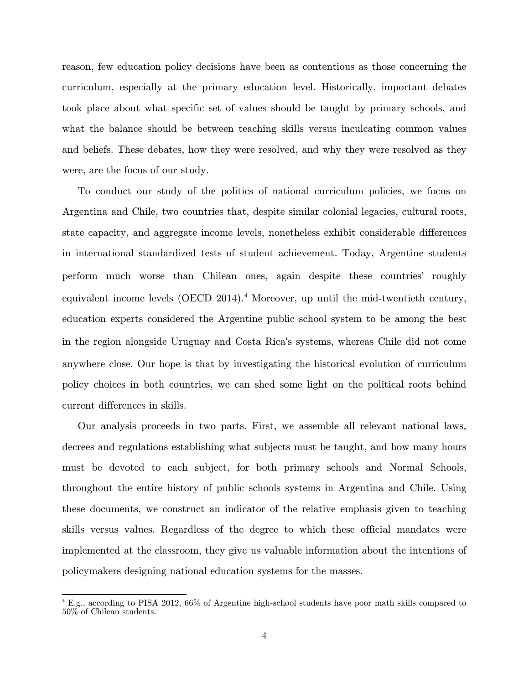reason, few education policy decisions have been as contentious as those concerning the curriculum, especially at the primary education level. Historically, important debates took place about what specific set of values should be taught by primary schools, and what the balance should be between teaching skills versus inculcating common values and beliefs. These debates, how they were resolved, and why they were resolved as they were, are the focus of our study.

To conduct our study of the politics of national curriculum policies, we focus on Argentina and Chile, two countries that, despite similar colonial legacies, cultural roots, state capacity, and aggregate income levels, nonetheless exhibit considerable differences in international standardized tests of student achievement. Today, Argentine students perform much worse than Chilean ones, again despite these countries' roughly equivalent income levels  $(OECD 2014).$  $(OECD 2014).$  $(OECD 2014).$ <sup>4</sup> Moreover, up until the mid-twentieth century, education experts considered the Argentine public school system to be among the best in the region alongside Uruguay and Costa Rica's systems, whereas Chile did not come anywhere close. Our hope is that by investigating the historical evolution of curriculum policy choices in both countries, we can shed some light on the political roots behind current differences in skills.

Our analysis proceeds in two parts. First, we assemble all relevant national laws, decrees and regulations establishing what subjects must be taught, and how many hours must be devoted to each subject, for both primary schools and Normal Schools, throughout the entire history of public schools systems in Argentina and Chile. Using these documents, we construct an indicator of the relative emphasis given to teaching skills versus values. Regardless of the degree to which these official mandates were implemented at the classroom, they give us valuable information about the intentions of policymakers designing national education systems for the masses.

<span id="page-3-0"></span><sup>4</sup> E.g., according to PISA 2012, 66% of Argentine high-school students have poor math skills compared to 50% of Chilean students.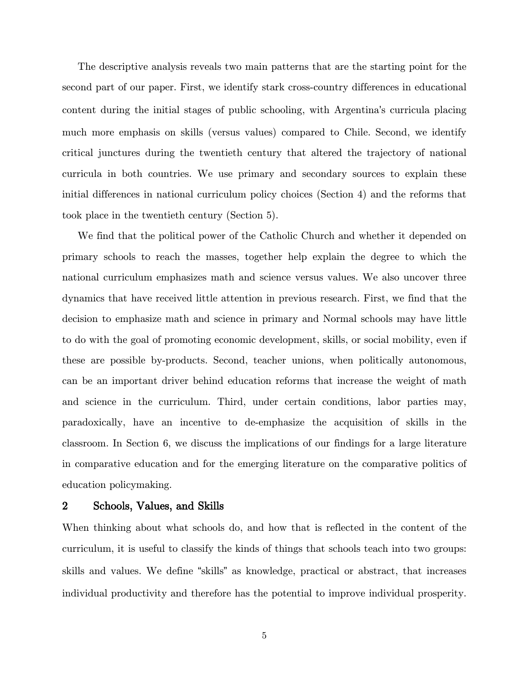The descriptive analysis reveals two main patterns that are the starting point for the second part of our paper. First, we identify stark cross-country differences in educational content during the initial stages of public schooling, with Argentina's curricula placing much more emphasis on skills (versus values) compared to Chile. Second, we identify critical junctures during the twentieth century that altered the trajectory of national curricula in both countries. We use primary and secondary sources to explain these initial differences in national curriculum policy choices (Section 4) and the reforms that took place in the twentieth century (Section 5).

We find that the political power of the Catholic Church and whether it depended on primary schools to reach the masses, together help explain the degree to which the national curriculum emphasizes math and science versus values. We also uncover three dynamics that have received little attention in previous research. First, we find that the decision to emphasize math and science in primary and Normal schools may have little to do with the goal of promoting economic development, skills, or social mobility, even if these are possible by-products. Second, teacher unions, when politically autonomous, can be an important driver behind education reforms that increase the weight of math and science in the curriculum. Third, under certain conditions, labor parties may, paradoxically, have an incentive to de-emphasize the acquisition of skills in the classroom. In Section 6, we discuss the implications of our findings for a large literature in comparative education and for the emerging literature on the comparative politics of education policymaking.

#### 2 Schools, Values, and Skills

When thinking about what schools do, and how that is reflected in the content of the curriculum, it is useful to classify the kinds of things that schools teach into two groups: skills and values. We define "skills" as knowledge, practical or abstract, that increases individual productivity and therefore has the potential to improve individual prosperity.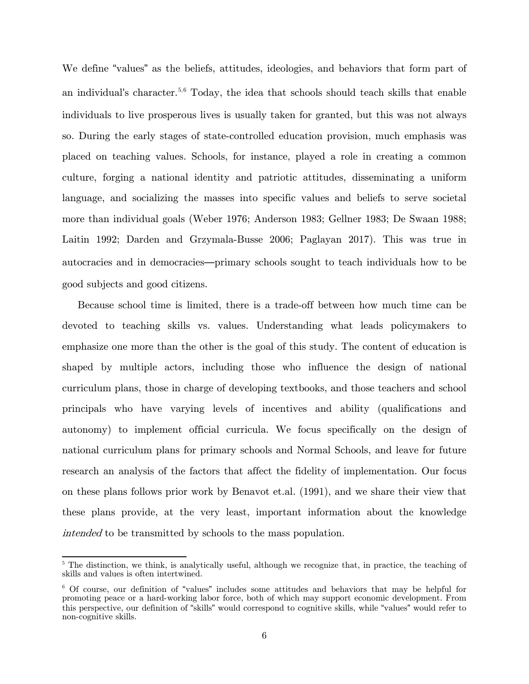We define "values" as the beliefs, attitudes, ideologies, and behaviors that form part of an individual's character.<sup>[5,](#page-5-0)[6](#page-5-1)</sup> Today, the idea that schools should teach skills that enable individuals to live prosperous lives is usually taken for granted, but this was not always so. During the early stages of state-controlled education provision, much emphasis was placed on teaching values. Schools, for instance, played a role in creating a common culture, forging a national identity and patriotic attitudes, disseminating a uniform language, and socializing the masses into specific values and beliefs to serve societal more than individual goals (Weber 1976; Anderson 1983; Gellner 1983; De Swaan 1988; Laitin 1992; Darden and Grzymala-Busse 2006; Paglayan 2017). This was true in autocracies and in democracies—primary schools sought to teach individuals how to be good subjects and good citizens.

Because school time is limited, there is a trade-off between how much time can be devoted to teaching skills vs. values. Understanding what leads policymakers to emphasize one more than the other is the goal of this study. The content of education is shaped by multiple actors, including those who influence the design of national curriculum plans, those in charge of developing textbooks, and those teachers and school principals who have varying levels of incentives and ability (qualifications and autonomy) to implement official curricula. We focus specifically on the design of national curriculum plans for primary schools and Normal Schools, and leave for future research an analysis of the factors that affect the fidelity of implementation. Our focus on these plans follows prior work by Benavot et.al. (1991), and we share their view that these plans provide, at the very least, important information about the knowledge intended to be transmitted by schools to the mass population.

<span id="page-5-0"></span><sup>&</sup>lt;sup>5</sup> The distinction, we think, is analytically useful, although we recognize that, in practice, the teaching of skills and values is often intertwined.

<span id="page-5-1"></span><sup>6</sup> Of course, our definition of "values" includes some attitudes and behaviors that may be helpful for promoting peace or a hard-working labor force, both of which may support economic development. From this perspective, our definition of "skills" would correspond to cognitive skills, while "values" would refer to non-cognitive skills.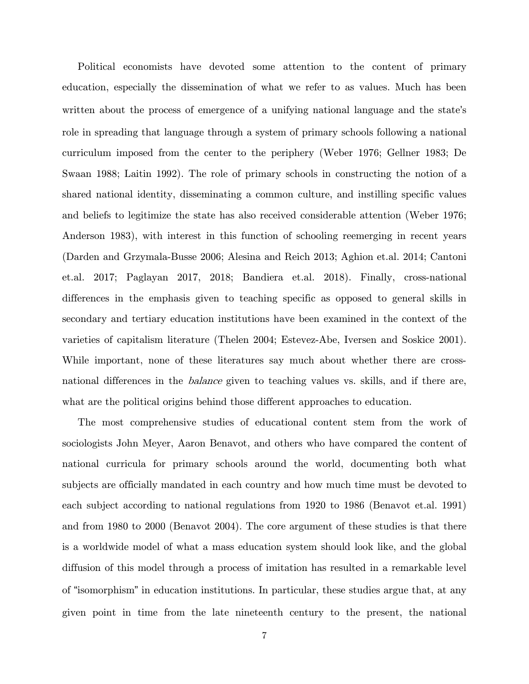Political economists have devoted some attention to the content of primary education, especially the dissemination of what we refer to as values. Much has been written about the process of emergence of a unifying national language and the state's role in spreading that language through a system of primary schools following a national curriculum imposed from the center to the periphery (Weber 1976; Gellner 1983; De Swaan 1988; Laitin 1992). The role of primary schools in constructing the notion of a shared national identity, disseminating a common culture, and instilling specific values and beliefs to legitimize the state has also received considerable attention (Weber 1976; Anderson 1983), with interest in this function of schooling reemerging in recent years (Darden and Grzymala-Busse 2006; Alesina and Reich 2013; Aghion et.al. 2014; Cantoni et.al. 2017; Paglayan 2017, 2018; Bandiera et.al. 2018). Finally, cross-national differences in the emphasis given to teaching specific as opposed to general skills in secondary and tertiary education institutions have been examined in the context of the varieties of capitalism literature (Thelen 2004; Estevez-Abe, Iversen and Soskice 2001). While important, none of these literatures say much about whether there are crossnational differences in the *balance* given to teaching values vs. skills, and if there are, what are the political origins behind those different approaches to education.

The most comprehensive studies of educational content stem from the work of sociologists John Meyer, Aaron Benavot, and others who have compared the content of national curricula for primary schools around the world, documenting both what subjects are officially mandated in each country and how much time must be devoted to each subject according to national regulations from 1920 to 1986 (Benavot et.al. 1991) and from 1980 to 2000 (Benavot 2004). The core argument of these studies is that there is a worldwide model of what a mass education system should look like, and the global diffusion of this model through a process of imitation has resulted in a remarkable level of "isomorphism" in education institutions. In particular, these studies argue that, at any given point in time from the late nineteenth century to the present, the national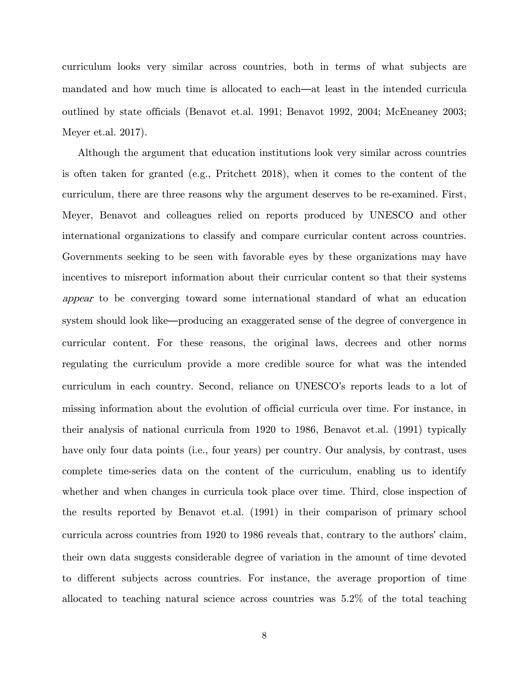curriculum looks very similar across countries, both in terms of what subjects are mandated and how much time is allocated to each—at least in the intended curricula outlined by state officials (Benavot et.al. 1991; Benavot 1992, 2004; McEneaney 2003; Meyer et.al. 2017).

Although the argument that education institutions look very similar across countries is often taken for granted (e.g., Pritchett 2018), when it comes to the content of the curriculum, there are three reasons why the argument deserves to be re-examined. First, Meyer, Benavot and colleagues relied on reports produced by UNESCO and other international organizations to classify and compare curricular content across countries. Governments seeking to be seen with favorable eyes by these organizations may have incentives to misreport information about their curricular content so that their systems appear to be converging toward some international standard of what an education system should look like—producing an exaggerated sense of the degree of convergence in curricular content. For these reasons, the original laws, decrees and other norms regulating the curriculum provide a more credible source for what was the intended curriculum in each country. Second, reliance on UNESCO's reports leads to a lot of missing information about the evolution of official curricula over time. For instance, in their analysis of national curricula from 1920 to 1986, Benavot et.al. (1991) typically have only four data points (i.e., four years) per country. Our analysis, by contrast, uses complete time-series data on the content of the curriculum, enabling us to identify whether and when changes in curricula took place over time. Third, close inspection of the results reported by Benavot et.al. (1991) in their comparison of primary school curricula across countries from 1920 to 1986 reveals that, contrary to the authors' claim, their own data suggests considerable degree of variation in the amount of time devoted to different subjects across countries. For instance, the average proportion of time allocated to teaching natural science across countries was 5.2% of the total teaching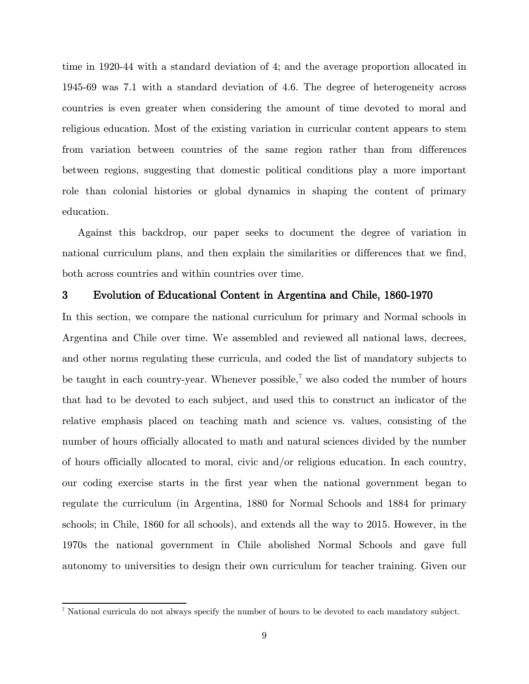time in 1920-44 with a standard deviation of 4; and the average proportion allocated in 1945-69 was 7.1 with a standard deviation of 4.6. The degree of heterogeneity across countries is even greater when considering the amount of time devoted to moral and religious education. Most of the existing variation in curricular content appears to stem from variation between countries of the same region rather than from differences between regions, suggesting that domestic political conditions play a more important role than colonial histories or global dynamics in shaping the content of primary education.

Against this backdrop, our paper seeks to document the degree of variation in national curriculum plans, and then explain the similarities or differences that we find, both across countries and within countries over time.

#### 3 Evolution of Educational Content in Argentina and Chile, 1860-1970

In this section, we compare the national curriculum for primary and Normal schools in Argentina and Chile over time. We assembled and reviewed all national laws, decrees, and other norms regulating these curricula, and coded the list of mandatory subjects to be taught in each country-year. Whenever possible,<sup> $7$ </sup> we also coded the number of hours that had to be devoted to each subject, and used this to construct an indicator of the relative emphasis placed on teaching math and science vs. values, consisting of the number of hours officially allocated to math and natural sciences divided by the number of hours officially allocated to moral, civic and/or religious education. In each country, our coding exercise starts in the first year when the national government began to regulate the curriculum (in Argentina, 1880 for Normal Schools and 1884 for primary schools; in Chile, 1860 for all schools), and extends all the way to 2015. However, in the 1970s the national government in Chile abolished Normal Schools and gave full autonomy to universities to design their own curriculum for teacher training. Given our

<span id="page-8-0"></span><sup>7</sup> National curricula do not always specify the number of hours to be devoted to each mandatory subject.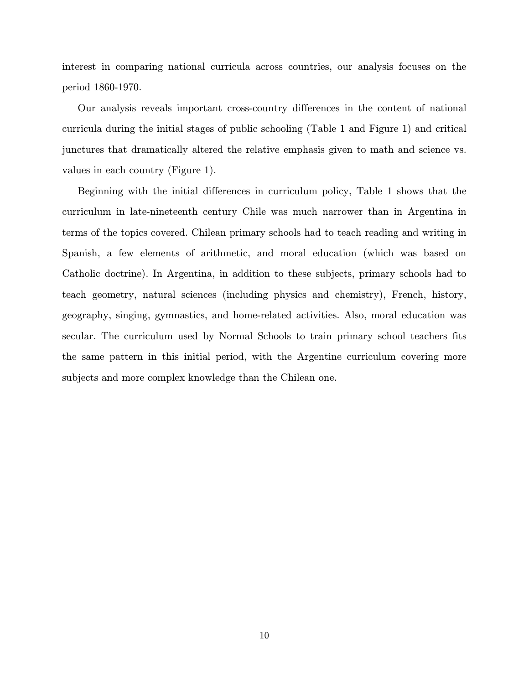interest in comparing national curricula across countries, our analysis focuses on the period 1860-1970.

Our analysis reveals important cross-country differences in the content of national curricula during the initial stages of public schooling (Table 1 and Figure 1) and critical junctures that dramatically altered the relative emphasis given to math and science vs. values in each country (Figure 1).

Beginning with the initial differences in curriculum policy, Table 1 shows that the curriculum in late-nineteenth century Chile was much narrower than in Argentina in terms of the topics covered. Chilean primary schools had to teach reading and writing in Spanish, a few elements of arithmetic, and moral education (which was based on Catholic doctrine). In Argentina, in addition to these subjects, primary schools had to teach geometry, natural sciences (including physics and chemistry), French, history, geography, singing, gymnastics, and home-related activities. Also, moral education was secular. The curriculum used by Normal Schools to train primary school teachers fits the same pattern in this initial period, with the Argentine curriculum covering more subjects and more complex knowledge than the Chilean one.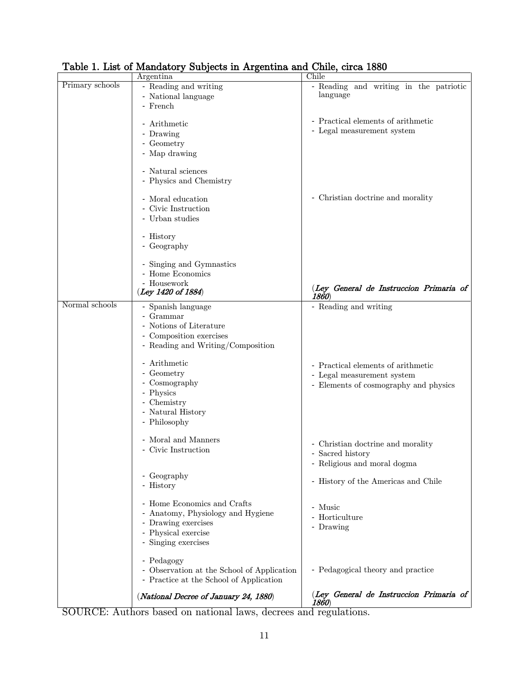|                 | Argentina                                                                                                                             | Chile                                                                                                     |
|-----------------|---------------------------------------------------------------------------------------------------------------------------------------|-----------------------------------------------------------------------------------------------------------|
| Primary schools | - Reading and writing<br>- National language<br>- French                                                                              | - Reading and writing in the patriotic<br>language                                                        |
|                 | - Arithmetic<br>- Drawing<br>- Geometry<br>- Map drawing<br>- Natural sciences                                                        | - Practical elements of arithmetic<br>- Legal measurement system                                          |
|                 | - Physics and Chemistry                                                                                                               |                                                                                                           |
|                 | - Moral education<br>- Civic Instruction<br>- Urban studies                                                                           | - Christian doctrine and morality                                                                         |
|                 | - History<br>- Geography                                                                                                              |                                                                                                           |
|                 | - Singing and Gymnastics<br>- Home Economics<br>- Housework                                                                           |                                                                                                           |
|                 | (Ley 1420 of 1884)                                                                                                                    | (Ley General de Instruccion Primaria of<br>1860)                                                          |
| Normal schools  | - Spanish language<br>- Grammar<br>- Notions of Literature<br>- Composition exercises<br>- Reading and Writing/Composition            | - Reading and writing                                                                                     |
|                 | - Arithmetic<br>- Geometry<br>- Cosmography<br>- Physics<br>- Chemistry<br>- Natural History<br>- Philosophy                          | - Practical elements of arithmetic<br>- Legal measurement system<br>- Elements of cosmography and physics |
|                 | - Moral and Manners<br>- Civic Instruction                                                                                            | - Christian doctrine and morality<br>- Sacred history<br>- Religious and moral dogma                      |
|                 | - Geography<br>- History                                                                                                              | - History of the Americas and Chile                                                                       |
|                 | - Home Economics and Crafts<br>- Anatomy, Physiology and Hygiene<br>- Drawing exercises<br>- Physical exercise<br>- Singing exercises | - Music<br>- Horticulture<br>- Drawing                                                                    |
|                 | - Pedagogy<br>- Observation at the School of Application<br>- Practice at the School of Application                                   | - Pedagogical theory and practice                                                                         |
|                 | (National Decree of January 24, 1880)                                                                                                 | (Ley General de Instruccion Primaria of<br>1860)                                                          |

Table 1. List of Mandatory Subjects in Argentina and Chile, circa 1880

SOURCE: Authors based on national laws, decrees and regulations.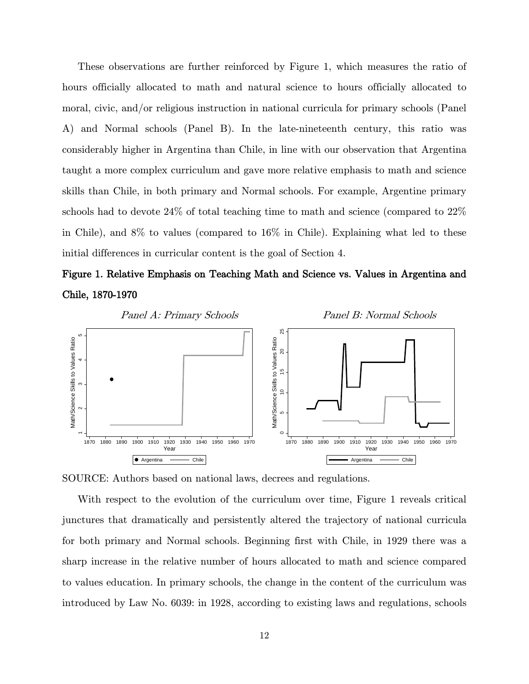These observations are further reinforced by Figure 1, which measures the ratio of hours officially allocated to math and natural science to hours officially allocated to moral, civic, and/or religious instruction in national curricula for primary schools (Panel A) and Normal schools (Panel B). In the late-nineteenth century, this ratio was considerably higher in Argentina than Chile, in line with our observation that Argentina taught a more complex curriculum and gave more relative emphasis to math and science skills than Chile, in both primary and Normal schools. For example, Argentine primary schools had to devote 24% of total teaching time to math and science (compared to 22% in Chile), and 8% to values (compared to 16% in Chile). Explaining what led to these initial differences in curricular content is the goal of Section 4.

# Figure 1. Relative Emphasis on Teaching Math and Science vs. Values in Argentina and Chile, 1870-1970



SOURCE: Authors based on national laws, decrees and regulations.

With respect to the evolution of the curriculum over time, Figure 1 reveals critical junctures that dramatically and persistently altered the trajectory of national curricula for both primary and Normal schools. Beginning first with Chile, in 1929 there was a sharp increase in the relative number of hours allocated to math and science compared to values education. In primary schools, the change in the content of the curriculum was introduced by Law No. 6039: in 1928, according to existing laws and regulations, schools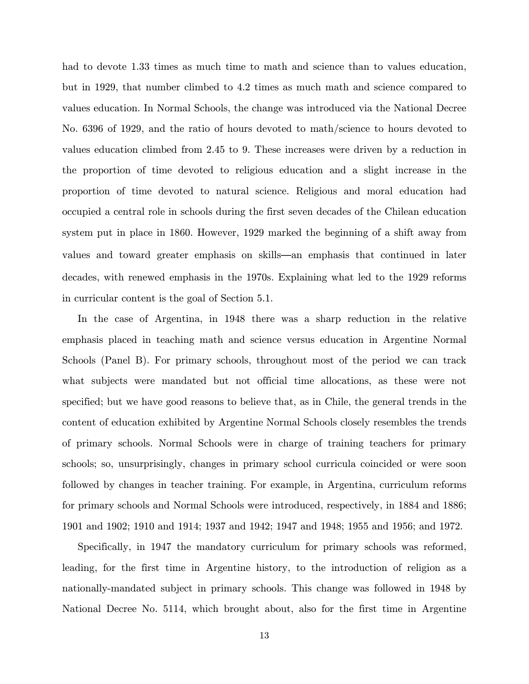had to devote 1.33 times as much time to math and science than to values education, but in 1929, that number climbed to 4.2 times as much math and science compared to values education. In Normal Schools, the change was introduced via the National Decree No. 6396 of 1929, and the ratio of hours devoted to math/science to hours devoted to values education climbed from 2.45 to 9. These increases were driven by a reduction in the proportion of time devoted to religious education and a slight increase in the proportion of time devoted to natural science. Religious and moral education had occupied a central role in schools during the first seven decades of the Chilean education system put in place in 1860. However, 1929 marked the beginning of a shift away from values and toward greater emphasis on skills—an emphasis that continued in later decades, with renewed emphasis in the 1970s. Explaining what led to the 1929 reforms in curricular content is the goal of Section 5.1.

In the case of Argentina, in 1948 there was a sharp reduction in the relative emphasis placed in teaching math and science versus education in Argentine Normal Schools (Panel B). For primary schools, throughout most of the period we can track what subjects were mandated but not official time allocations, as these were not specified; but we have good reasons to believe that, as in Chile, the general trends in the content of education exhibited by Argentine Normal Schools closely resembles the trends of primary schools. Normal Schools were in charge of training teachers for primary schools; so, unsurprisingly, changes in primary school curricula coincided or were soon followed by changes in teacher training. For example, in Argentina, curriculum reforms for primary schools and Normal Schools were introduced, respectively, in 1884 and 1886; 1901 and 1902; 1910 and 1914; 1937 and 1942; 1947 and 1948; 1955 and 1956; and 1972.

Specifically, in 1947 the mandatory curriculum for primary schools was reformed, leading, for the first time in Argentine history, to the introduction of religion as a nationally-mandated subject in primary schools. This change was followed in 1948 by National Decree No. 5114, which brought about, also for the first time in Argentine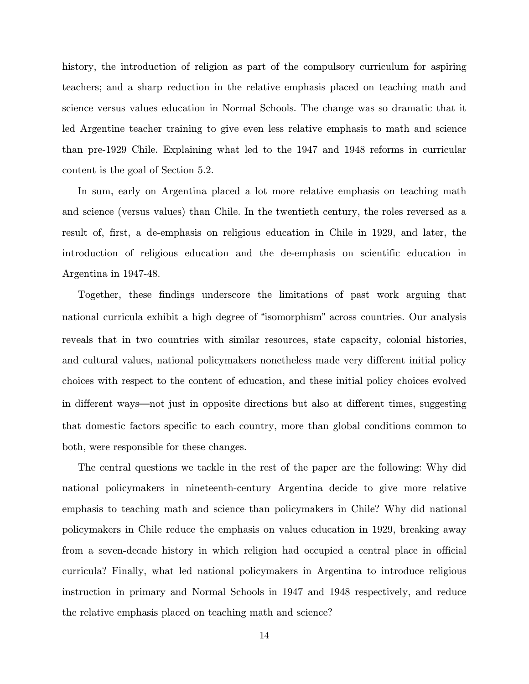history, the introduction of religion as part of the compulsory curriculum for aspiring teachers; and a sharp reduction in the relative emphasis placed on teaching math and science versus values education in Normal Schools. The change was so dramatic that it led Argentine teacher training to give even less relative emphasis to math and science than pre-1929 Chile. Explaining what led to the 1947 and 1948 reforms in curricular content is the goal of Section 5.2.

In sum, early on Argentina placed a lot more relative emphasis on teaching math and science (versus values) than Chile. In the twentieth century, the roles reversed as a result of, first, a de-emphasis on religious education in Chile in 1929, and later, the introduction of religious education and the de-emphasis on scientific education in Argentina in 1947-48.

Together, these findings underscore the limitations of past work arguing that national curricula exhibit a high degree of "isomorphism" across countries. Our analysis reveals that in two countries with similar resources, state capacity, colonial histories, and cultural values, national policymakers nonetheless made very different initial policy choices with respect to the content of education, and these initial policy choices evolved in different ways—not just in opposite directions but also at different times, suggesting that domestic factors specific to each country, more than global conditions common to both, were responsible for these changes.

The central questions we tackle in the rest of the paper are the following: Why did national policymakers in nineteenth-century Argentina decide to give more relative emphasis to teaching math and science than policymakers in Chile? Why did national policymakers in Chile reduce the emphasis on values education in 1929, breaking away from a seven-decade history in which religion had occupied a central place in official curricula? Finally, what led national policymakers in Argentina to introduce religious instruction in primary and Normal Schools in 1947 and 1948 respectively, and reduce the relative emphasis placed on teaching math and science?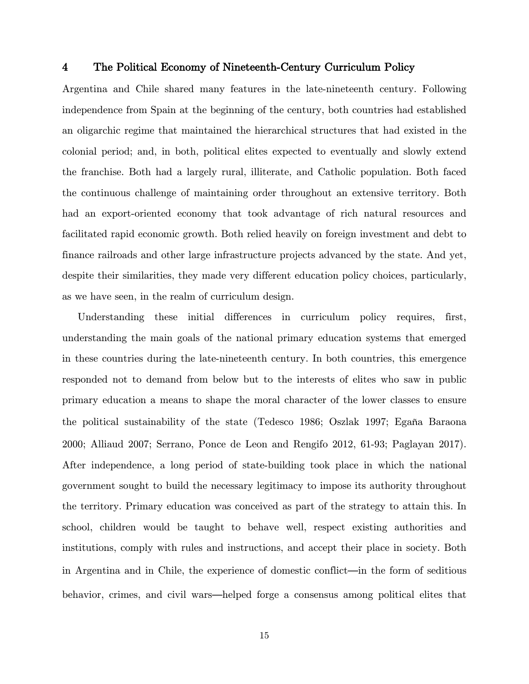#### 4 The Political Economy of Nineteenth-Century Curriculum Policy

Argentina and Chile shared many features in the late-nineteenth century. Following independence from Spain at the beginning of the century, both countries had established an oligarchic regime that maintained the hierarchical structures that had existed in the colonial period; and, in both, political elites expected to eventually and slowly extend the franchise. Both had a largely rural, illiterate, and Catholic population. Both faced the continuous challenge of maintaining order throughout an extensive territory. Both had an export-oriented economy that took advantage of rich natural resources and facilitated rapid economic growth. Both relied heavily on foreign investment and debt to finance railroads and other large infrastructure projects advanced by the state. And yet, despite their similarities, they made very different education policy choices, particularly, as we have seen, in the realm of curriculum design.

Understanding these initial differences in curriculum policy requires, first, understanding the main goals of the national primary education systems that emerged in these countries during the late-nineteenth century. In both countries, this emergence responded not to demand from below but to the interests of elites who saw in public primary education a means to shape the moral character of the lower classes to ensure the political sustainability of the state (Tedesco 1986; Oszlak 1997; Egaña Baraona 2000; Alliaud 2007; Serrano, Ponce de Leon and Rengifo 2012, 61-93; Paglayan 2017). After independence, a long period of state-building took place in which the national government sought to build the necessary legitimacy to impose its authority throughout the territory. Primary education was conceived as part of the strategy to attain this. In school, children would be taught to behave well, respect existing authorities and institutions, comply with rules and instructions, and accept their place in society. Both in Argentina and in Chile, the experience of domestic conflict—in the form of seditious behavior, crimes, and civil wars—helped forge a consensus among political elites that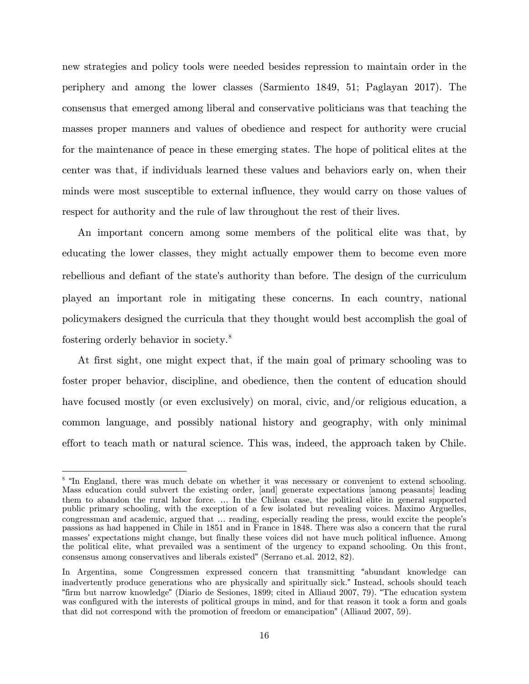new strategies and policy tools were needed besides repression to maintain order in the periphery and among the lower classes (Sarmiento 1849, 51; Paglayan 2017). The consensus that emerged among liberal and conservative politicians was that teaching the masses proper manners and values of obedience and respect for authority were crucial for the maintenance of peace in these emerging states. The hope of political elites at the center was that, if individuals learned these values and behaviors early on, when their minds were most susceptible to external influence, they would carry on those values of respect for authority and the rule of law throughout the rest of their lives.

An important concern among some members of the political elite was that, by educating the lower classes, they might actually empower them to become even more rebellious and defiant of the state's authority than before. The design of the curriculum played an important role in mitigating these concerns. In each country, national policymakers designed the curricula that they thought would best accomplish the goal of fostering orderly behavior in society.[8](#page-15-0)

At first sight, one might expect that, if the main goal of primary schooling was to foster proper behavior, discipline, and obedience, then the content of education should have focused mostly (or even exclusively) on moral, civic, and/or religious education, a common language, and possibly national history and geography, with only minimal effort to teach math or natural science. This was, indeed, the approach taken by Chile.

 $\overline{a}$ 

<span id="page-15-0"></span><sup>&</sup>lt;sup>8</sup> "In England, there was much debate on whether it was necessary or convenient to extend schooling. Mass education could subvert the existing order, [and] generate expectations [among peasants] leading them to abandon the rural labor force. … In the Chilean case, the political elite in general supported public primary schooling, with the exception of a few isolated but revealing voices. Maximo Arguelles, congressman and academic, argued that … reading, especially reading the press, would excite the people's passions as had happened in Chile in 1851 and in France in 1848. There was also a concern that the rural masses' expectations might change, but finally these voices did not have much political influence. Among the political elite, what prevailed was a sentiment of the urgency to expand schooling. On this front, consensus among conservatives and liberals existed" (Serrano et.al. 2012, 82).

In Argentina, some Congressmen expressed concern that transmitting "abundant knowledge can inadvertently produce generations who are physically and spiritually sick." Instead, schools should teach "firm but narrow knowledge" (Diario de Sesiones, 1899; cited in Alliaud 2007, 79). "The education system was configured with the interests of political groups in mind, and for that reason it took a form and goals that did not correspond with the promotion of freedom or emancipation" (Alliaud 2007, 59).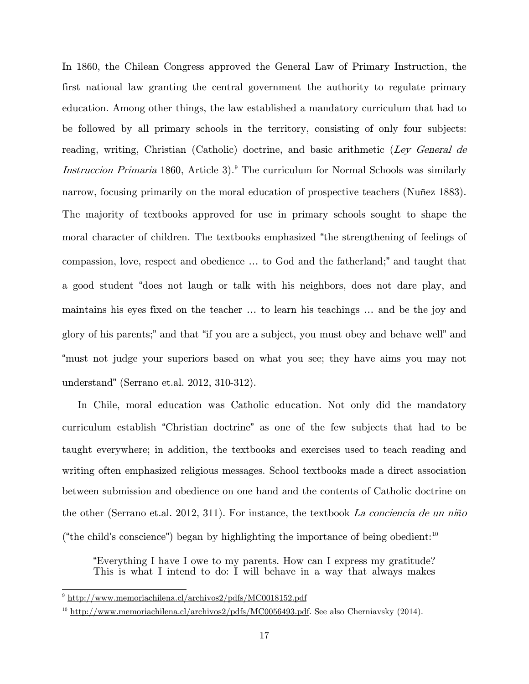In 1860, the Chilean Congress approved the General Law of Primary Instruction, the first national law granting the central government the authority to regulate primary education. Among other things, the law established a mandatory curriculum that had to be followed by all primary schools in the territory, consisting of only four subjects: reading, writing, Christian (Catholic) doctrine, and basic arithmetic (Ley General de Instruccion Primaria 1860, Article 3).<sup>[9](#page-16-0)</sup> The curriculum for Normal Schools was similarly narrow, focusing primarily on the moral education of prospective teachers (Nuñez 1883). The majority of textbooks approved for use in primary schools sought to shape the moral character of children. The textbooks emphasized "the strengthening of feelings of compassion, love, respect and obedience … to God and the fatherland;" and taught that a good student "does not laugh or talk with his neighbors, does not dare play, and maintains his eyes fixed on the teacher … to learn his teachings … and be the joy and glory of his parents;" and that "if you are a subject, you must obey and behave well" and "must not judge your superiors based on what you see; they have aims you may not understand" (Serrano et.al. 2012, 310-312).

In Chile, moral education was Catholic education. Not only did the mandatory curriculum establish "Christian doctrine" as one of the few subjects that had to be taught everywhere; in addition, the textbooks and exercises used to teach reading and writing often emphasized religious messages. School textbooks made a direct association between submission and obedience on one hand and the contents of Catholic doctrine on the other (Serrano et.al. 2012, 311). For instance, the textbook La conciencia de un ni*ñ*<sup>o</sup> ("the child's conscience") began by highlighting the importance of being obedient:<sup>[10](#page-16-1)</sup>

"Everything I have I owe to my parents. How can I express my gratitude? This is what I intend to do: I will behave in a way that always makes

<span id="page-16-0"></span><sup>9</sup> <http://www.memoriachilena.cl/archivos2/pdfs/MC0018152.pdf>

<span id="page-16-1"></span> $10$  [http://www.memoriachilena.cl/archivos2/pdfs/MC0056493.pdf.](http://www.memoriachilena.cl/archivos2/pdfs/MC0056493.pdf) See also Cherniavsky (2014).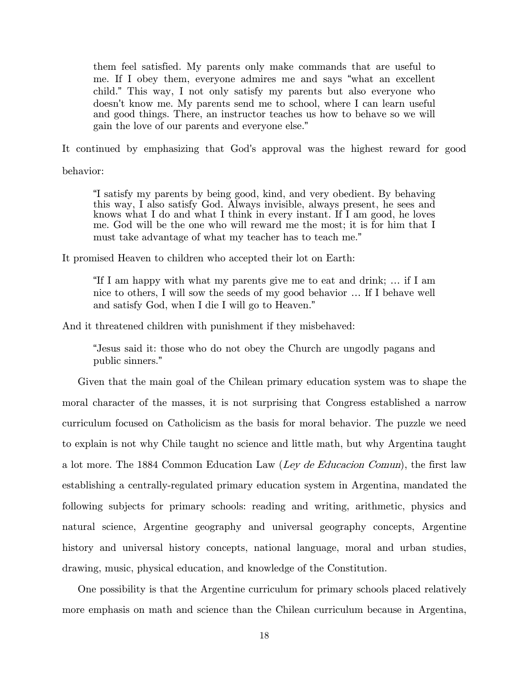them feel satisfied. My parents only make commands that are useful to me. If I obey them, everyone admires me and says "what an excellent child." This way, I not only satisfy my parents but also everyone who doesn't know me. My parents send me to school, where I can learn useful and good things. There, an instructor teaches us how to behave so we will gain the love of our parents and everyone else."

It continued by emphasizing that God's approval was the highest reward for good

behavior:

"I satisfy my parents by being good, kind, and very obedient. By behaving this way, I also satisfy God. Always invisible, always present, he sees and knows what I do and what I think in every instant. If I am good, he loves me. God will be the one who will reward me the most; it is for him that I must take advantage of what my teacher has to teach me."

It promised Heaven to children who accepted their lot on Earth:

"If I am happy with what my parents give me to eat and drink; … if I am nice to others, I will sow the seeds of my good behavior … If I behave well and satisfy God, when I die I will go to Heaven."

And it threatened children with punishment if they misbehaved:

"Jesus said it: those who do not obey the Church are ungodly pagans and public sinners."

Given that the main goal of the Chilean primary education system was to shape the moral character of the masses, it is not surprising that Congress established a narrow curriculum focused on Catholicism as the basis for moral behavior. The puzzle we need to explain is not why Chile taught no science and little math, but why Argentina taught a lot more. The 1884 Common Education Law (Ley de Educacion Comun), the first law establishing a centrally-regulated primary education system in Argentina, mandated the following subjects for primary schools: reading and writing, arithmetic, physics and natural science, Argentine geography and universal geography concepts, Argentine history and universal history concepts, national language, moral and urban studies, drawing, music, physical education, and knowledge of the Constitution.

One possibility is that the Argentine curriculum for primary schools placed relatively more emphasis on math and science than the Chilean curriculum because in Argentina,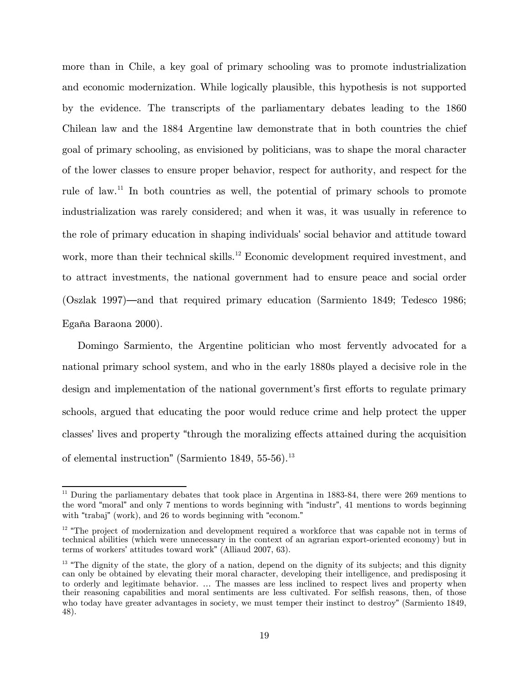more than in Chile, a key goal of primary schooling was to promote industrialization and economic modernization. While logically plausible, this hypothesis is not supported by the evidence. The transcripts of the parliamentary debates leading to the 1860 Chilean law and the 1884 Argentine law demonstrate that in both countries the chief goal of primary schooling, as envisioned by politicians, was to shape the moral character of the lower classes to ensure proper behavior, respect for authority, and respect for the rule of law.<sup>[11](#page-18-0)</sup> In both countries as well, the potential of primary schools to promote industrialization was rarely considered; and when it was, it was usually in reference to the role of primary education in shaping individuals' social behavior and attitude toward work, more than their technical skills.<sup>[12](#page-18-1)</sup> Economic development required investment, and to attract investments, the national government had to ensure peace and social order (Oszlak 1997)—and that required primary education (Sarmiento 1849; Tedesco 1986; Egaña Baraona 2000).

Domingo Sarmiento, the Argentine politician who most fervently advocated for a national primary school system, and who in the early 1880s played a decisive role in the design and implementation of the national government's first efforts to regulate primary schools, argued that educating the poor would reduce crime and help protect the upper classes' lives and property "through the moralizing effects attained during the acquisition of elemental instruction" (Sarmiento 1849, 55-56).<sup>[13](#page-18-2)</sup>

<span id="page-18-0"></span> $11$  During the parliamentary debates that took place in Argentina in 1883-84, there were 269 mentions to the word "moral" and only 7 mentions to words beginning with "industr", 41 mentions to words beginning with "trabaj" (work), and 26 to words beginning with "econom."

<span id="page-18-1"></span> $12$  "The project of modernization and development required a workforce that was capable not in terms of technical abilities (which were unnecessary in the context of an agrarian export-oriented economy) but in terms of workers' attitudes toward work" (Alliaud 2007, 63).

<span id="page-18-2"></span> $13$  "The dignity of the state, the glory of a nation, depend on the dignity of its subjects; and this dignity can only be obtained by elevating their moral character, developing their intelligence, and predisposing it to orderly and legitimate behavior. … The masses are less inclined to respect lives and property when their reasoning capabilities and moral sentiments are less cultivated. For selfish reasons, then, of those who today have greater advantages in society, we must temper their instinct to destroy" (Sarmiento 1849, 48).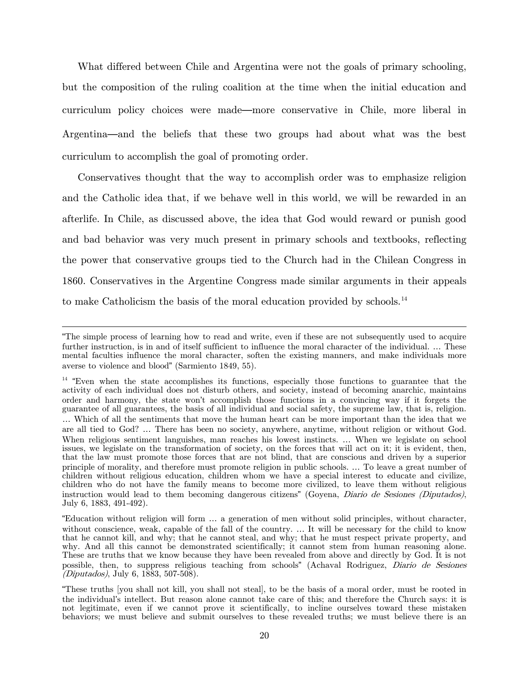What differed between Chile and Argentina were not the goals of primary schooling, but the composition of the ruling coalition at the time when the initial education and curriculum policy choices were made—more conservative in Chile, more liberal in Argentina—and the beliefs that these two groups had about what was the best curriculum to accomplish the goal of promoting order.

Conservatives thought that the way to accomplish order was to emphasize religion and the Catholic idea that, if we behave well in this world, we will be rewarded in an afterlife. In Chile, as discussed above, the idea that God would reward or punish good and bad behavior was very much present in primary schools and textbooks, reflecting the power that conservative groups tied to the Church had in the Chilean Congress in 1860. Conservatives in the Argentine Congress made similar arguments in their appeals to make Catholicism the basis of the moral education provided by schools.<sup>[14](#page-19-0)</sup>

 $\overline{a}$ 

<sup>&</sup>quot;The simple process of learning how to read and write, even if these are not subsequently used to acquire further instruction, is in and of itself sufficient to influence the moral character of the individual. … These mental faculties influence the moral character, soften the existing manners, and make individuals more averse to violence and blood" (Sarmiento 1849, 55).

<span id="page-19-0"></span><sup>&</sup>lt;sup>14</sup> "Even when the state accomplishes its functions, especially those functions to guarantee that the activity of each individual does not disturb others, and society, instead of becoming anarchic, maintains order and harmony, the state won't accomplish those functions in a convincing way if it forgets the guarantee of all guarantees, the basis of all individual and social safety, the supreme law, that is, religion. … Which of all the sentiments that move the human heart can be more important than the idea that we are all tied to God? … There has been no society, anywhere, anytime, without religion or without God. When religious sentiment languishes, man reaches his lowest instincts. … When we legislate on school issues, we legislate on the transformation of society, on the forces that will act on it; it is evident, then, that the law must promote those forces that are not blind, that are conscious and driven by a superior principle of morality, and therefore must promote religion in public schools. … To leave a great number of children without religious education, children whom we have a special interest to educate and civilize, children who do not have the family means to become more civilized, to leave them without religious instruction would lead to them becoming dangerous citizens" (Goyena, *Diario de Sesiones (Diputados)*, July 6, 1883, 491-492).

<sup>&</sup>quot;Education without religion will form … a generation of men without solid principles, without character, without conscience, weak, capable of the fall of the country. ... It will be necessary for the child to know that he cannot kill, and why; that he cannot steal, and why; that he must respect private property, and why. And all this cannot be demonstrated scientifically; it cannot stem from human reasoning alone. These are truths that we know because they have been revealed from above and directly by God. It is not possible, then, to suppress religious teaching from schools" (Achaval Rodriguez, Diario de Sesiones (Diputados), July 6, 1883, 507-508).

<sup>&</sup>quot;These truths [you shall not kill, you shall not steal], to be the basis of a moral order, must be rooted in the individual's intellect. But reason alone cannot take care of this; and therefore the Church says: it is not legitimate, even if we cannot prove it scientifically, to incline ourselves toward these mistaken behaviors; we must believe and submit ourselves to these revealed truths; we must believe there is an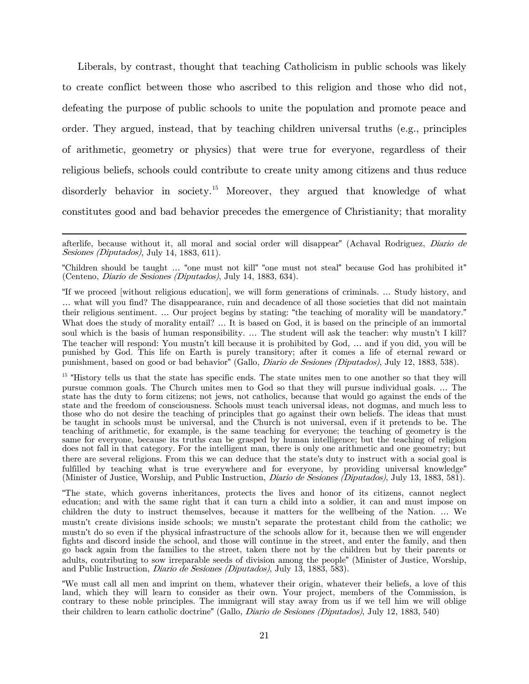Liberals, by contrast, thought that teaching Catholicism in public schools was likely to create conflict between those who ascribed to this religion and those who did not, defeating the purpose of public schools to unite the population and promote peace and order. They argued, instead, that by teaching children universal truths (e.g., principles of arithmetic, geometry or physics) that were true for everyone, regardless of their religious beliefs, schools could contribute to create unity among citizens and thus reduce disorderly behavior in society.<sup>[15](#page-20-0)</sup> Moreover, they argued that knowledge of what constitutes good and bad behavior precedes the emergence of Christianity; that morality

 $\overline{\phantom{a}}$ 

afterlife, because without it, all moral and social order will disappear" (Achaval Rodriguez, Diario de Sesiones (Diputados), July 14, 1883, 611).

<sup>&</sup>quot;Children should be taught … "one must not kill" "one must not steal" because God has prohibited it" (Centeno, Diario de Sesiones (Diputados), July 14, 1883, 634).

<sup>&</sup>quot;If we proceed [without religious education], we will form generations of criminals. … Study history, and … what will you find? The disappearance, ruin and decadence of all those societies that did not maintain their religious sentiment. … Our project begins by stating: "the teaching of morality will be mandatory." What does the study of morality entail? ... It is based on God, it is based on the principle of an immortal soul which is the basis of human responsibility. … The student will ask the teacher: why mustn't I kill? The teacher will respond: You mustn't kill because it is prohibited by God, … and if you did, you will be punished by God. This life on Earth is purely transitory; after it comes a life of eternal reward or punishment, based on good or bad behavior" (Gallo, Diario de Sesiones (Diputados), July 12, 1883, 538).

<span id="page-20-0"></span><sup>&</sup>lt;sup>15</sup> "History tells us that the state has specific ends. The state unites men to one another so that they will pursue common goals. The Church unites men to God so that they will pursue individual goals. … The state has the duty to form citizens; not jews, not catholics, because that would go against the ends of the state and the freedom of consciousness. Schools must teach universal ideas, not dogmas, and much less to those who do not desire the teaching of principles that go against their own beliefs. The ideas that must be taught in schools must be universal, and the Church is not universal, even if it pretends to be. The teaching of arithmetic, for example, is the same teaching for everyone; the teaching of geometry is the same for everyone, because its truths can be grasped by human intelligence; but the teaching of religion does not fall in that category. For the intelligent man, there is only one arithmetic and one geometry; but there are several religions. From this we can deduce that the state's duty to instruct with a social goal is fulfilled by teaching what is true everywhere and for everyone, by providing universal knowledge" (Minister of Justice, Worship, and Public Instruction, Diario de Sesiones (Diputados), July 13, 1883, 581).

<sup>&</sup>quot;The state, which governs inheritances, protects the lives and honor of its citizens, cannot neglect education; and with the same right that it can turn a child into a soldier, it can and must impose on children the duty to instruct themselves, because it matters for the wellbeing of the Nation. … We mustn't create divisions inside schools; we mustn't separate the protestant child from the catholic; we mustn't do so even if the physical infrastructure of the schools allow for it, because then we will engender fights and discord inside the school, and those will continue in the street, and enter the family, and then go back again from the families to the street, taken there not by the children but by their parents or adults, contributing to sow irreparable seeds of division among the people" (Minister of Justice, Worship, and Public Instruction, Diario de Sesiones (Diputados), July 13, 1883, 583).

<sup>&</sup>quot;We must call all men and imprint on them, whatever their origin, whatever their beliefs, a love of this land, which they will learn to consider as their own. Your project, members of the Commission, is contrary to these noble principles. The immigrant will stay away from us if we tell him we will oblige their children to learn catholic doctrine" (Gallo, Diario de Sesiones (Diputados), July 12, 1883, 540)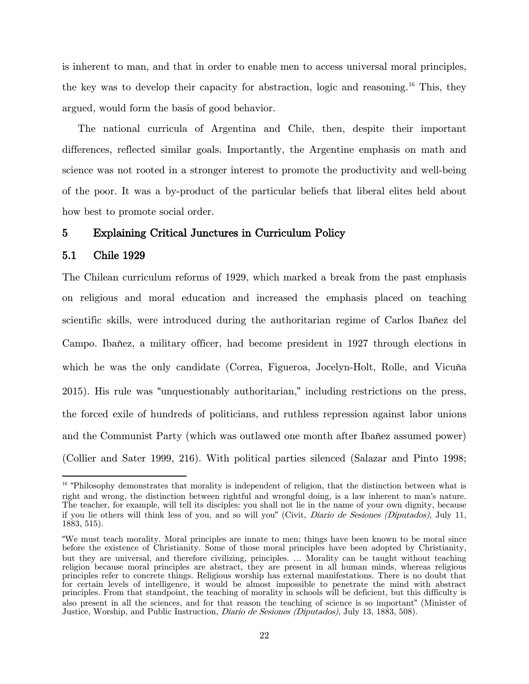is inherent to man, and that in order to enable men to access universal moral principles, the key was to develop their capacity for abstraction, logic and reasoning. [16](#page-21-0) This, they argued, would form the basis of good behavior.

The national curricula of Argentina and Chile, then, despite their important differences, reflected similar goals. Importantly, the Argentine emphasis on math and science was not rooted in a stronger interest to promote the productivity and well-being of the poor. It was a by-product of the particular beliefs that liberal elites held about how best to promote social order.

# 5 Explaining Critical Junctures in Curriculum Policy

#### 5.1 Chile 1929

l

The Chilean curriculum reforms of 1929, which marked a break from the past emphasis on religious and moral education and increased the emphasis placed on teaching scientific skills, were introduced during the authoritarian regime of Carlos Ibañez del Campo. Ibañez, a military officer, had become president in 1927 through elections in which he was the only candidate (Correa, Figueroa, Jocelyn-Holt, Rolle, and Vicuña 2015). His rule was "unquestionably authoritarian," including restrictions on the press, the forced exile of hundreds of politicians, and ruthless repression against labor unions and the Communist Party (which was outlawed one month after Ibañez assumed power) (Collier and Sater 1999, 216). With political parties silenced (Salazar and Pinto 1998;

<span id="page-21-0"></span><sup>&</sup>lt;sup>16</sup> "Philosophy demonstrates that morality is independent of religion, that the distinction between what is right and wrong, the distinction between rightful and wrongful doing, is a law inherent to man's nature. The teacher, for example, will tell its disciples: you shall not lie in the name of your own dignity, because if you lie others will think less of you, and so will you" (Civit, Diario de Sesiones (Diputados), July 11, 1883, 515).

<sup>&</sup>quot;We must teach morality. Moral principles are innate to men; things have been known to be moral since before the existence of Christianity. Some of those moral principles have been adopted by Christianity, but they are universal, and therefore civilizing, principles. … Morality can be taught without teaching religion because moral principles are abstract, they are present in all human minds, whereas religious principles refer to concrete things. Religious worship has external manifestations. There is no doubt that for certain levels of intelligence, it would be almost impossible to penetrate the mind with abstract principles. From that standpoint, the teaching of morality in schools will be deficient, but this difficulty is also present in all the sciences, and for that reason the teaching of science is so important" (Minister of Justice, Worship, and Public Instruction, *Diario de Sesiones (Diputados)*, July 13, 1883, 508).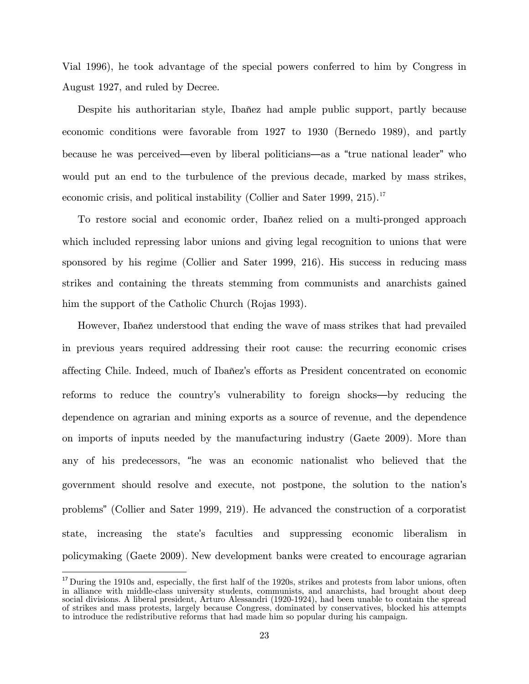Vial 1996), he took advantage of the special powers conferred to him by Congress in August 1927, and ruled by Decree.

Despite his authoritarian style, Ibañez had ample public support, partly because economic conditions were favorable from 1927 to 1930 (Bernedo 1989), and partly because he was perceived—even by liberal politicians—as a "true national leader" who would put an end to the turbulence of the previous decade, marked by mass strikes, economic crisis, and political instability (Collier and Sater 1999, 215).<sup>[17](#page-22-0)</sup>

To restore social and economic order, Ibañez relied on a multi-pronged approach which included repressing labor unions and giving legal recognition to unions that were sponsored by his regime (Collier and Sater 1999, 216). His success in reducing mass strikes and containing the threats stemming from communists and anarchists gained him the support of the Catholic Church (Rojas 1993).

However, Ibañez understood that ending the wave of mass strikes that had prevailed in previous years required addressing their root cause: the recurring economic crises affecting Chile. Indeed, much of Ibañez's efforts as President concentrated on economic reforms to reduce the country's vulnerability to foreign shocks—by reducing the dependence on agrarian and mining exports as a source of revenue, and the dependence on imports of inputs needed by the manufacturing industry (Gaete 2009). More than any of his predecessors, "he was an economic nationalist who believed that the government should resolve and execute, not postpone, the solution to the nation's problems" (Collier and Sater 1999, 219). He advanced the construction of a corporatist state, increasing the state's faculties and suppressing economic liberalism in policymaking (Gaete 2009). New development banks were created to encourage agrarian

<span id="page-22-0"></span><sup>&</sup>lt;sup>17</sup> During the 1910s and, especially, the first half of the 1920s, strikes and protests from labor unions, often in alliance with middle-class university students, communists, and anarchists, had brought about deep social divisions. A liberal president, Arturo Alessandri (1920-1924), had been unable to contain the spread of strikes and mass protests, largely because Congress, dominated by conservatives, blocked his attempts to introduce the redistributive reforms that had made him so popular during his campaign.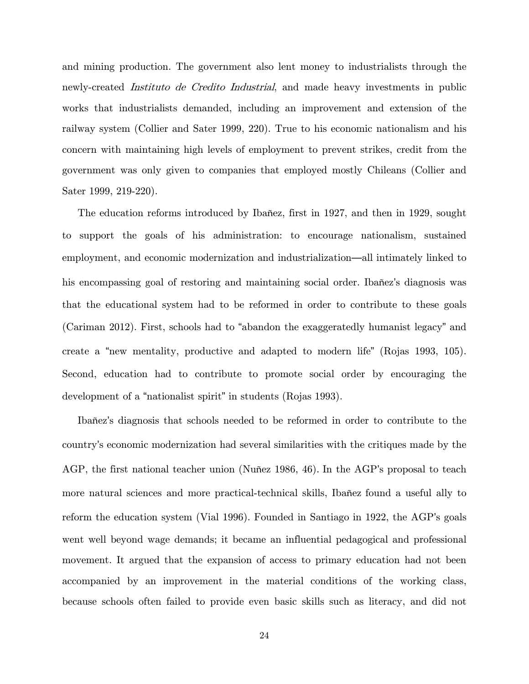and mining production. The government also lent money to industrialists through the newly-created *Instituto de Credito Industrial*, and made heavy investments in public works that industrialists demanded, including an improvement and extension of the railway system (Collier and Sater 1999, 220). True to his economic nationalism and his concern with maintaining high levels of employment to prevent strikes, credit from the government was only given to companies that employed mostly Chileans (Collier and Sater 1999, 219-220).

The education reforms introduced by Ibañez, first in 1927, and then in 1929, sought to support the goals of his administration: to encourage nationalism, sustained employment, and economic modernization and industrialization—all intimately linked to his encompassing goal of restoring and maintaining social order. Ibañez's diagnosis was that the educational system had to be reformed in order to contribute to these goals (Cariman 2012). First, schools had to "abandon the exaggeratedly humanist legacy" and create a "new mentality, productive and adapted to modern life" (Rojas 1993, 105). Second, education had to contribute to promote social order by encouraging the development of a "nationalist spirit" in students (Rojas 1993).

Ibañez's diagnosis that schools needed to be reformed in order to contribute to the country's economic modernization had several similarities with the critiques made by the AGP, the first national teacher union (Nuñez 1986, 46). In the AGP's proposal to teach more natural sciences and more practical-technical skills, Ibañez found a useful ally to reform the education system (Vial 1996). Founded in Santiago in 1922, the AGP's goals went well beyond wage demands; it became an influential pedagogical and professional movement. It argued that the expansion of access to primary education had not been accompanied by an improvement in the material conditions of the working class, because schools often failed to provide even basic skills such as literacy, and did not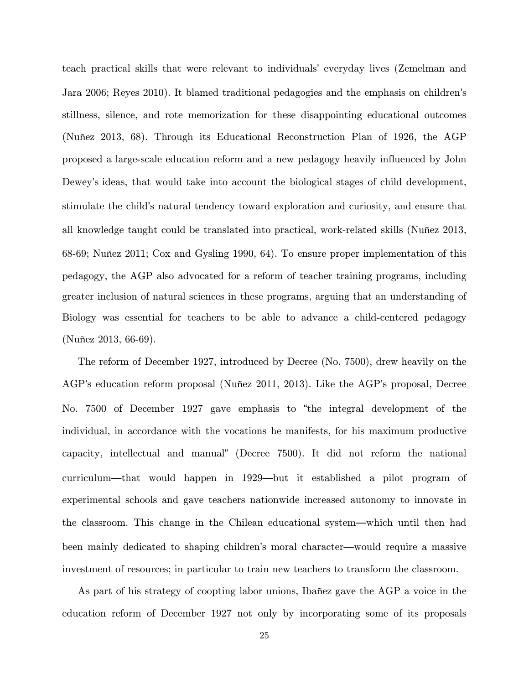teach practical skills that were relevant to individuals' everyday lives (Zemelman and Jara 2006; Reyes 2010). It blamed traditional pedagogies and the emphasis on children's stillness, silence, and rote memorization for these disappointing educational outcomes (Nuñez 2013, 68). Through its Educational Reconstruction Plan of 1926, the AGP proposed a large-scale education reform and a new pedagogy heavily influenced by John Dewey's ideas, that would take into account the biological stages of child development, stimulate the child's natural tendency toward exploration and curiosity, and ensure that all knowledge taught could be translated into practical, work-related skills (Nuñez 2013, 68-69; Nuñez 2011; Cox and Gysling 1990, 64). To ensure proper implementation of this pedagogy, the AGP also advocated for a reform of teacher training programs, including greater inclusion of natural sciences in these programs, arguing that an understanding of Biology was essential for teachers to be able to advance a child-centered pedagogy (Nuñez 2013, 66-69).

The reform of December 1927, introduced by Decree (No. 7500), drew heavily on the AGP's education reform proposal (Nuñez 2011, 2013). Like the AGP's proposal, Decree No. 7500 of December 1927 gave emphasis to "the integral development of the individual, in accordance with the vocations he manifests, for his maximum productive capacity, intellectual and manual" (Decree 7500). It did not reform the national curriculum—that would happen in 1929—but it established a pilot program of experimental schools and gave teachers nationwide increased autonomy to innovate in the classroom. This change in the Chilean educational system—which until then had been mainly dedicated to shaping children's moral character—would require a massive investment of resources; in particular to train new teachers to transform the classroom.

As part of his strategy of coopting labor unions, Ibañez gave the AGP a voice in the education reform of December 1927 not only by incorporating some of its proposals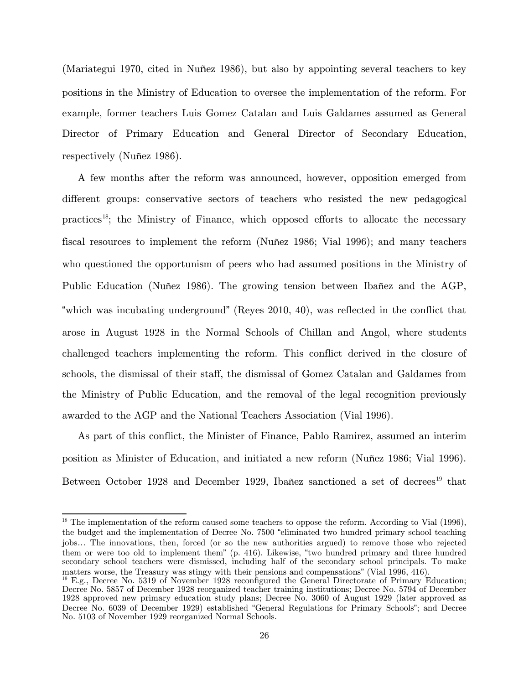(Mariategui 1970, cited in Nuñez 1986), but also by appointing several teachers to key positions in the Ministry of Education to oversee the implementation of the reform. For example, former teachers Luis Gomez Catalan and Luis Galdames assumed as General Director of Primary Education and General Director of Secondary Education, respectively (Nuñez 1986).

A few months after the reform was announced, however, opposition emerged from different groups: conservative sectors of teachers who resisted the new pedagogical practices<sup>18</sup>; the Ministry of Finance, which opposed efforts to allocate the necessary fiscal resources to implement the reform (Nuñez 1986; Vial 1996); and many teachers who questioned the opportunism of peers who had assumed positions in the Ministry of Public Education (Nuñez 1986). The growing tension between Ibañez and the AGP, "which was incubating underground" (Reyes 2010, 40), was reflected in the conflict that arose in August 1928 in the Normal Schools of Chillan and Angol, where students challenged teachers implementing the reform. This conflict derived in the closure of schools, the dismissal of their staff, the dismissal of Gomez Catalan and Galdames from the Ministry of Public Education, and the removal of the legal recognition previously awarded to the AGP and the National Teachers Association (Vial 1996).

As part of this conflict, the Minister of Finance, Pablo Ramirez, assumed an interim position as Minister of Education, and initiated a new reform (Nuñez 1986; Vial 1996). Between October [19](#page-25-1)28 and December 1929, Ibañez sanctioned a set of decrees<sup>19</sup> that

<span id="page-25-0"></span> $18$  The implementation of the reform caused some teachers to oppose the reform. According to Vial (1996), the budget and the implementation of Decree No. 7500 "eliminated two hundred primary school teaching jobs… The innovations, then, forced (or so the new authorities argued) to remove those who rejected them or were too old to implement them" (p. 416). Likewise, "two hundred primary and three hundred secondary school teachers were dismissed, including half of the secondary school principals. To make matters worse, the Treasury was stingy with their pensions and compensations" (Vial 1996, 416).<br><sup>19</sup> E.g., Decree No. 5319 of November 1928 reconfigured the General Directorate of Primary Education;

<span id="page-25-1"></span>Decree No. 5857 of December 1928 reorganized teacher training institutions; Decree No. 5794 of December 1928 approved new primary education study plans; Decree No. 3060 of August 1929 (later approved as Decree No. 6039 of December 1929) established "General Regulations for Primary Schools"; and Decree No. 5103 of November 1929 reorganized Normal Schools.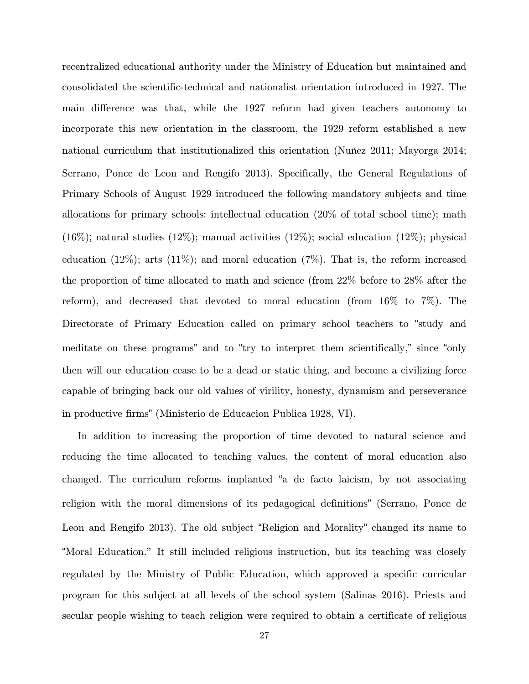recentralized educational authority under the Ministry of Education but maintained and consolidated the scientific-technical and nationalist orientation introduced in 1927. The main difference was that, while the 1927 reform had given teachers autonomy to incorporate this new orientation in the classroom, the 1929 reform established a new national curriculum that institutionalized this orientation (Nuñez 2011; Mayorga 2014; Serrano, Ponce de Leon and Rengifo 2013). Specifically, the General Regulations of Primary Schools of August 1929 introduced the following mandatory subjects and time allocations for primary schools: intellectual education (20% of total school time); math  $(16\%)$ ; natural studies  $(12\%)$ ; manual activities  $(12\%)$ ; social education  $(12\%)$ ; physical education  $(12\%)$ ; arts  $(11\%)$ ; and moral education  $(7\%)$ . That is, the reform increased the proportion of time allocated to math and science (from 22% before to 28% after the reform), and decreased that devoted to moral education (from 16% to 7%). The Directorate of Primary Education called on primary school teachers to "study and meditate on these programs" and to "try to interpret them scientifically," since "only then will our education cease to be a dead or static thing, and become a civilizing force capable of bringing back our old values of virility, honesty, dynamism and perseverance in productive firms" (Ministerio de Educacion Publica 1928, VI).

In addition to increasing the proportion of time devoted to natural science and reducing the time allocated to teaching values, the content of moral education also changed. The curriculum reforms implanted "a de facto laicism, by not associating religion with the moral dimensions of its pedagogical definitions" (Serrano, Ponce de Leon and Rengifo 2013). The old subject "Religion and Morality" changed its name to "Moral Education." It still included religious instruction, but its teaching was closely regulated by the Ministry of Public Education, which approved a specific curricular program for this subject at all levels of the school system (Salinas 2016). Priests and secular people wishing to teach religion were required to obtain a certificate of religious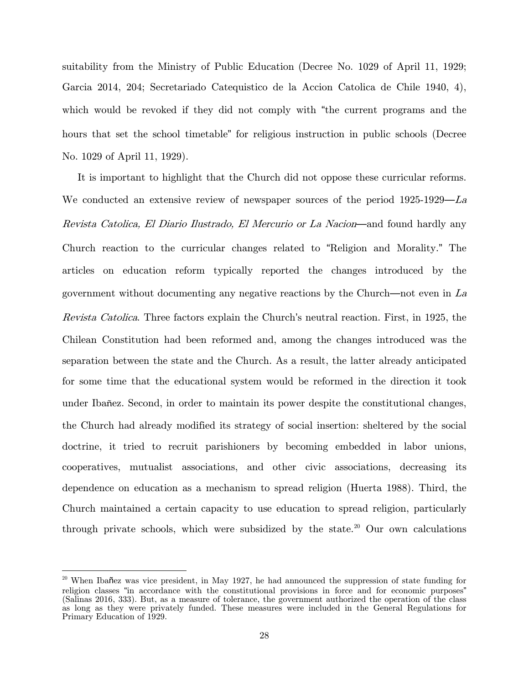suitability from the Ministry of Public Education (Decree No. 1029 of April 11, 1929; Garcia 2014, 204; Secretariado Catequistico de la Accion Catolica de Chile 1940, 4), which would be revoked if they did not comply with "the current programs and the hours that set the school timetable" for religious instruction in public schools (Decree No. 1029 of April 11, 1929).

It is important to highlight that the Church did not oppose these curricular reforms. We conducted an extensive review of newspaper sources of the period 1925-1929—La Revista Catolica, El Diario Ilustrado, El Mercurio or La Nacion—and found hardly any Church reaction to the curricular changes related to "Religion and Morality." The articles on education reform typically reported the changes introduced by the government without documenting any negative reactions by the Church—not even in La Revista Catolica. Three factors explain the Church's neutral reaction. First, in 1925, the Chilean Constitution had been reformed and, among the changes introduced was the separation between the state and the Church. As a result, the latter already anticipated for some time that the educational system would be reformed in the direction it took under Ibañez. Second, in order to maintain its power despite the constitutional changes, the Church had already modified its strategy of social insertion: sheltered by the social doctrine, it tried to recruit parishioners by becoming embedded in labor unions, cooperatives, mutualist associations, and other civic associations, decreasing its dependence on education as a mechanism to spread religion (Huerta 1988). Third, the Church maintained a certain capacity to use education to spread religion, particularly through private schools, which were subsidized by the state.<sup>[20](#page-27-0)</sup> Our own calculations

l

<span id="page-27-0"></span><sup>&</sup>lt;sup>20</sup> When Ibañez was vice president, in May 1927, he had announced the suppression of state funding for religion classes "in accordance with the constitutional provisions in force and for economic purposes" (Salinas 2016, 333). But, as a measure of tolerance, the government authorized the operation of the class as long as they were privately funded. These measures were included in the General Regulations for Primary Education of 1929.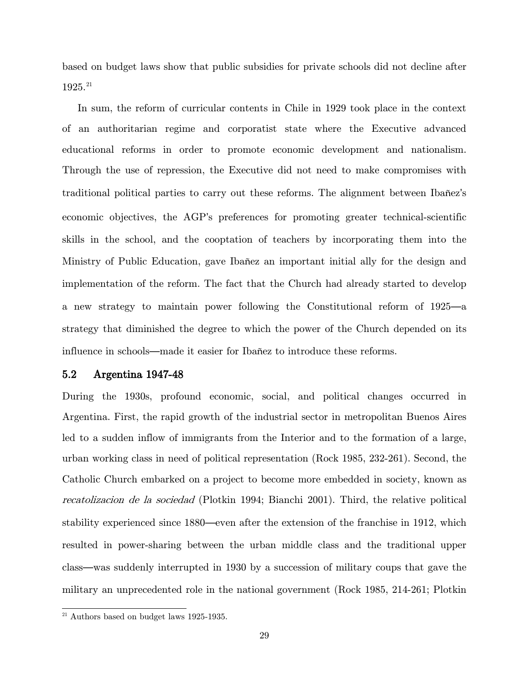based on budget laws show that public subsidies for private schools did not decline after 1925.<sup>21</sup>

In sum, the reform of curricular contents in Chile in 1929 took place in the context of an authoritarian regime and corporatist state where the Executive advanced educational reforms in order to promote economic development and nationalism. Through the use of repression, the Executive did not need to make compromises with traditional political parties to carry out these reforms. The alignment between Ibañez's economic objectives, the AGP's preferences for promoting greater technical-scientific skills in the school, and the cooptation of teachers by incorporating them into the Ministry of Public Education, gave Ibañez an important initial ally for the design and implementation of the reform. The fact that the Church had already started to develop a new strategy to maintain power following the Constitutional reform of 1925—a strategy that diminished the degree to which the power of the Church depended on its influence in schools—made it easier for Ibañez to introduce these reforms.

# 5.2 Argentina 1947-48

During the 1930s, profound economic, social, and political changes occurred in Argentina. First, the rapid growth of the industrial sector in metropolitan Buenos Aires led to a sudden inflow of immigrants from the Interior and to the formation of a large, urban working class in need of political representation (Rock 1985, 232-261). Second, the Catholic Church embarked on a project to become more embedded in society, known as recatolizacion de la sociedad (Plotkin 1994; Bianchi 2001). Third, the relative political stability experienced since 1880—even after the extension of the franchise in 1912, which resulted in power-sharing between the urban middle class and the traditional upper class—was suddenly interrupted in 1930 by a succession of military coups that gave the military an unprecedented role in the national government (Rock 1985, 214-261; Plotkin

<span id="page-28-0"></span> $^{\rm 21}$  Authors based on budget laws 1925-1935.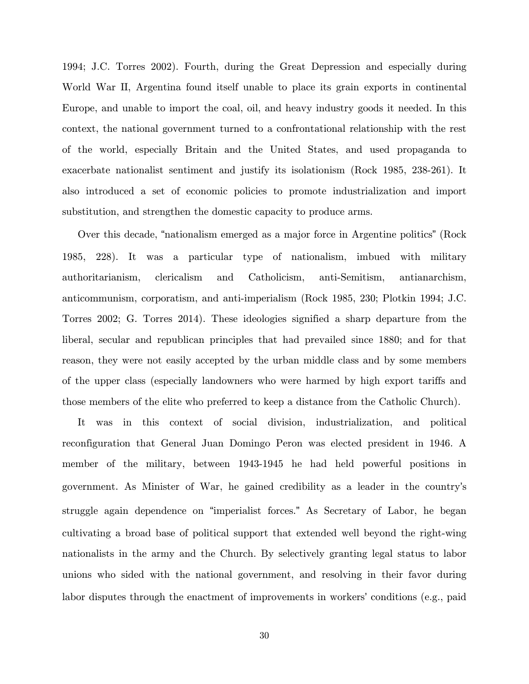1994; J.C. Torres 2002). Fourth, during the Great Depression and especially during World War II, Argentina found itself unable to place its grain exports in continental Europe, and unable to import the coal, oil, and heavy industry goods it needed. In this context, the national government turned to a confrontational relationship with the rest of the world, especially Britain and the United States, and used propaganda to exacerbate nationalist sentiment and justify its isolationism (Rock 1985, 238-261). It also introduced a set of economic policies to promote industrialization and import substitution, and strengthen the domestic capacity to produce arms.

Over this decade, "nationalism emerged as a major force in Argentine politics" (Rock 1985, 228). It was a particular type of nationalism, imbued with military authoritarianism, clericalism and Catholicism, anti-Semitism, antianarchism, anticommunism, corporatism, and anti-imperialism (Rock 1985, 230; Plotkin 1994; J.C. Torres 2002; G. Torres 2014). These ideologies signified a sharp departure from the liberal, secular and republican principles that had prevailed since 1880; and for that reason, they were not easily accepted by the urban middle class and by some members of the upper class (especially landowners who were harmed by high export tariffs and those members of the elite who preferred to keep a distance from the Catholic Church).

It was in this context of social division, industrialization, and political reconfiguration that General Juan Domingo Peron was elected president in 1946. A member of the military, between 1943-1945 he had held powerful positions in government. As Minister of War, he gained credibility as a leader in the country's struggle again dependence on "imperialist forces." As Secretary of Labor, he began cultivating a broad base of political support that extended well beyond the right-wing nationalists in the army and the Church. By selectively granting legal status to labor unions who sided with the national government, and resolving in their favor during labor disputes through the enactment of improvements in workers' conditions (e.g., paid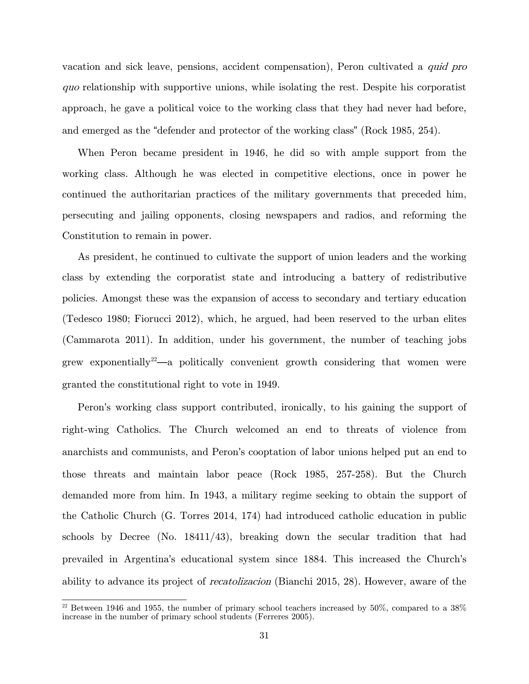vacation and sick leave, pensions, accident compensation), Peron cultivated a quid pro quo relationship with supportive unions, while isolating the rest. Despite his corporatist approach, he gave a political voice to the working class that they had never had before, and emerged as the "defender and protector of the working class" (Rock 1985, 254).

When Peron became president in 1946, he did so with ample support from the working class. Although he was elected in competitive elections, once in power he continued the authoritarian practices of the military governments that preceded him, persecuting and jailing opponents, closing newspapers and radios, and reforming the Constitution to remain in power.

As president, he continued to cultivate the support of union leaders and the working class by extending the corporatist state and introducing a battery of redistributive policies. Amongst these was the expansion of access to secondary and tertiary education (Tedesco 1980; Fiorucci 2012), which, he argued, had been reserved to the urban elites (Cammarota 2011). In addition, under his government, the number of teaching jobs grew exponentially<sup>[22](#page-30-0)</sup>—a politically convenient growth considering that women were granted the constitutional right to vote in 1949.

Peron's working class support contributed, ironically, to his gaining the support of right-wing Catholics. The Church welcomed an end to threats of violence from anarchists and communists, and Peron's cooptation of labor unions helped put an end to those threats and maintain labor peace (Rock 1985, 257-258). But the Church demanded more from him. In 1943, a military regime seeking to obtain the support of the Catholic Church (G. Torres 2014, 174) had introduced catholic education in public schools by Decree (No. 18411/43), breaking down the secular tradition that had prevailed in Argentina's educational system since 1884. This increased the Church's ability to advance its project of recatolizacion (Bianchi 2015, 28). However, aware of the

<span id="page-30-0"></span> $22$  Between 1946 and 1955, the number of primary school teachers increased by 50%, compared to a 38% increase in the number of primary school students (Ferreres 2005).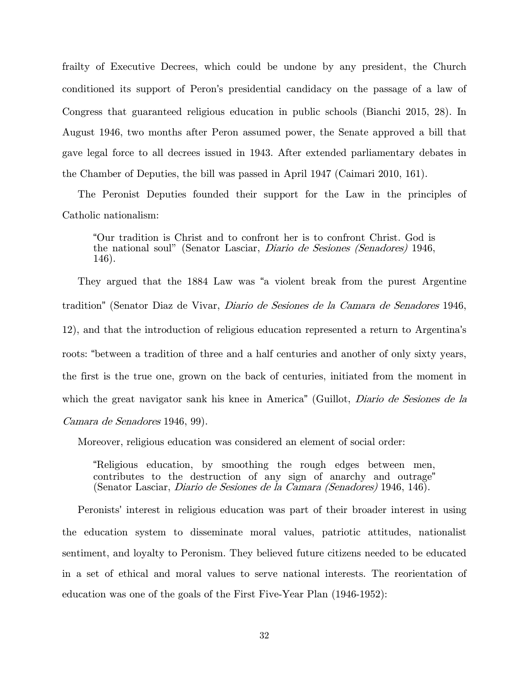frailty of Executive Decrees, which could be undone by any president, the Church conditioned its support of Peron's presidential candidacy on the passage of a law of Congress that guaranteed religious education in public schools (Bianchi 2015, 28). In August 1946, two months after Peron assumed power, the Senate approved a bill that gave legal force to all decrees issued in 1943. After extended parliamentary debates in the Chamber of Deputies, the bill was passed in April 1947 (Caimari 2010, 161).

The Peronist Deputies founded their support for the Law in the principles of Catholic nationalism:

"Our tradition is Christ and to confront her is to confront Christ. God is the national soul" (Senator Lasciar, Diario de Sesiones (Senadores) 1946, 146).

They argued that the 1884 Law was "a violent break from the purest Argentine tradition" (Senator Diaz de Vivar, Diario de Sesiones de la Camara de Senadores 1946, 12), and that the introduction of religious education represented a return to Argentina's roots: "between a tradition of three and a half centuries and another of only sixty years, the first is the true one, grown on the back of centuries, initiated from the moment in which the great navigator sank his knee in America" (Guillot, *Diario de Sesiones de la* Camara de Senadores 1946, 99).

Moreover, religious education was considered an element of social order:

"Religious education, by smoothing the rough edges between men, contributes to the destruction of any sign of anarchy and outrage" (Senator Lasciar, Diario de Sesiones de la Camara (Senadores) 1946, 146).

Peronists' interest in religious education was part of their broader interest in using the education system to disseminate moral values, patriotic attitudes, nationalist sentiment, and loyalty to Peronism. They believed future citizens needed to be educated in a set of ethical and moral values to serve national interests. The reorientation of education was one of the goals of the First Five-Year Plan (1946-1952):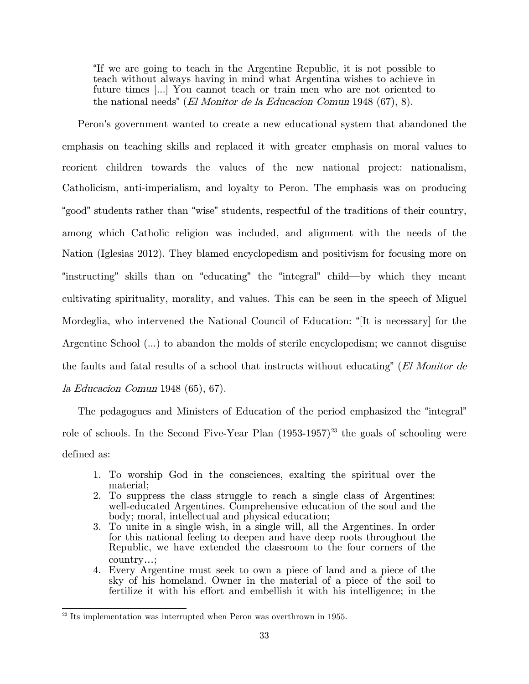"If we are going to teach in the Argentine Republic, it is not possible to teach without always having in mind what Argentina wishes to achieve in future times [...] You cannot teach or train men who are not oriented to the national needs" (*El Monitor de la Educacion Comun* 1948 (67), 8).

Peron's government wanted to create a new educational system that abandoned the emphasis on teaching skills and replaced it with greater emphasis on moral values to reorient children towards the values of the new national project: nationalism, Catholicism, anti-imperialism, and loyalty to Peron. The emphasis was on producing "good" students rather than "wise" students, respectful of the traditions of their country, among which Catholic religion was included, and alignment with the needs of the Nation (Iglesias 2012). They blamed encyclopedism and positivism for focusing more on "instructing" skills than on "educating" the "integral" child—by which they meant cultivating spirituality, morality, and values. This can be seen in the speech of Miguel Mordeglia, who intervened the National Council of Education: "[It is necessary] for the Argentine School (...) to abandon the molds of sterile encyclopedism; we cannot disguise the faults and fatal results of a school that instructs without educating" (El Monitor de la Educacion Comun 1948 (65), 67).

The pedagogues and Ministers of Education of the period emphasized the "integral" role of schools. In the Second Five-Year Plan  $(1953-1957)^{23}$  $(1953-1957)^{23}$  $(1953-1957)^{23}$  the goals of schooling were defined as:

- 1. To worship God in the consciences, exalting the spiritual over the material;
- 2. To suppress the class struggle to reach a single class of Argentines: well-educated Argentines. Comprehensive education of the soul and the body; moral, intellectual and physical education;
- 3. To unite in a single wish, in a single will, all the Argentines. In order for this national feeling to deepen and have deep roots throughout the Republic, we have extended the classroom to the four corners of the country…;
- 4. Every Argentine must seek to own a piece of land and a piece of the sky of his homeland. Owner in the material of a piece of the soil to fertilize it with his effort and embellish it with his intelligence; in the

<span id="page-32-0"></span> $23$  Its implementation was interrupted when Peron was overthrown in 1955.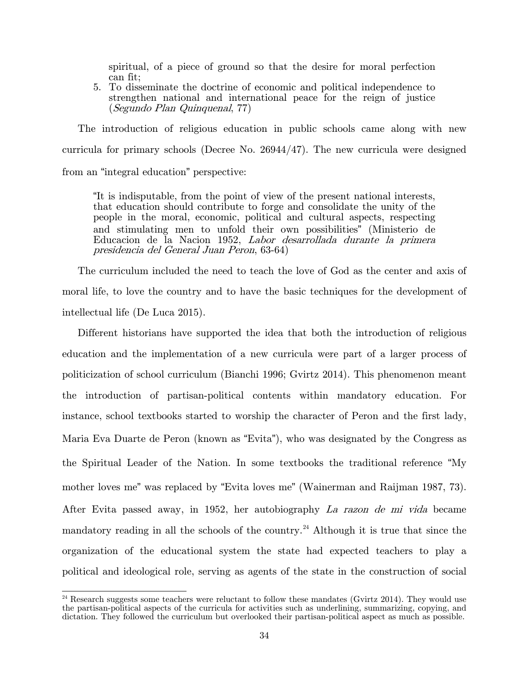spiritual, of a piece of ground so that the desire for moral perfection can fit;

5. To disseminate the doctrine of economic and political independence to strengthen national and international peace for the reign of justice (Segundo Plan Quinquenal, 77)

The introduction of religious education in public schools came along with new curricula for primary schools (Decree No. 26944/47). The new curricula were designed from an "integral education" perspective:

"It is indisputable, from the point of view of the present national interests, that education should contribute to forge and consolidate the unity of the people in the moral, economic, political and cultural aspects, respecting and stimulating men to unfold their own possibilities" (Ministerio de Educacion de la Nacion 1952, Labor desarrollada durante la primera presidencia del General Juan Peron, 63-64)

The curriculum included the need to teach the love of God as the center and axis of moral life, to love the country and to have the basic techniques for the development of intellectual life (De Luca 2015).

Different historians have supported the idea that both the introduction of religious education and the implementation of a new curricula were part of a larger process of politicization of school curriculum (Bianchi 1996; Gvirtz 2014). This phenomenon meant the introduction of partisan-political contents within mandatory education. For instance, school textbooks started to worship the character of Peron and the first lady, Maria Eva Duarte de Peron (known as "Evita"), who was designated by the Congress as the Spiritual Leader of the Nation. In some textbooks the traditional reference "My mother loves me" was replaced by "Evita loves me" (Wainerman and Raijman 1987, 73). After Evita passed away, in 1952, her autobiography La razon de mi vida became mandatory reading in all the schools of the country.<sup>[24](#page-33-0)</sup> Although it is true that since the organization of the educational system the state had expected teachers to play a political and ideological role, serving as agents of the state in the construction of social

<span id="page-33-0"></span><sup>&</sup>lt;sup>24</sup> Research suggests some teachers were reluctant to follow these mandates (Gvirtz 2014). They would use the partisan-political aspects of the curricula for activities such as underlining, summarizing, copying, and dictation. They followed the curriculum but overlooked their partisan-political aspect as much as possible.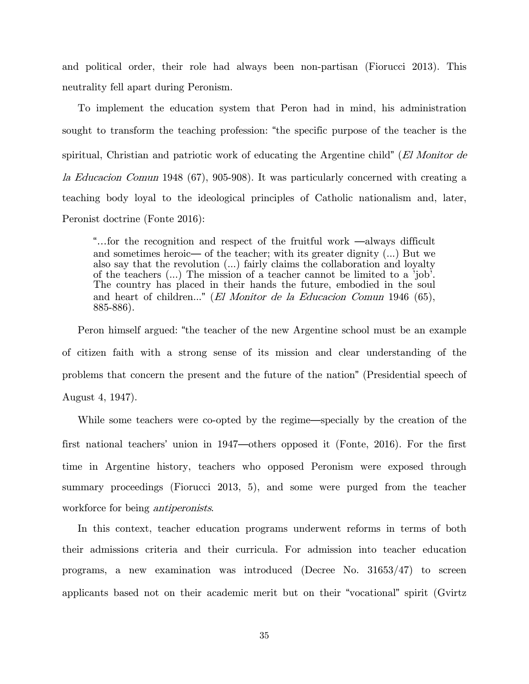and political order, their role had always been non-partisan (Fiorucci 2013). This neutrality fell apart during Peronism.

To implement the education system that Peron had in mind, his administration sought to transform the teaching profession: "the specific purpose of the teacher is the spiritual, Christian and patriotic work of educating the Argentine child" (El Monitor de la Educacion Comun 1948 (67), 905-908). It was particularly concerned with creating a teaching body loyal to the ideological principles of Catholic nationalism and, later, Peronist doctrine (Fonte 2016):

"…for the recognition and respect of the fruitful work —always difficult and sometimes heroic— of the teacher; with its greater dignity (...) But we also say that the revolution (...) fairly claims the collaboration and loyalty of the teachers (...) The mission of a teacher cannot be limited to a 'job'. The country has placed in their hands the future, embodied in the soul and heart of children..." (El Monitor de la Educacion Comun 1946 (65), 885-886).

Peron himself argued: "the teacher of the new Argentine school must be an example of citizen faith with a strong sense of its mission and clear understanding of the problems that concern the present and the future of the nation" (Presidential speech of August 4, 1947).

While some teachers were co-opted by the regime—specially by the creation of the first national teachers' union in 1947—others opposed it (Fonte, 2016). For the first time in Argentine history, teachers who opposed Peronism were exposed through summary proceedings (Fiorucci 2013, 5), and some were purged from the teacher workforce for being *antiperonists*.

In this context, teacher education programs underwent reforms in terms of both their admissions criteria and their curricula. For admission into teacher education programs, a new examination was introduced (Decree No. 31653/47) to screen applicants based not on their academic merit but on their "vocational" spirit (Gvirtz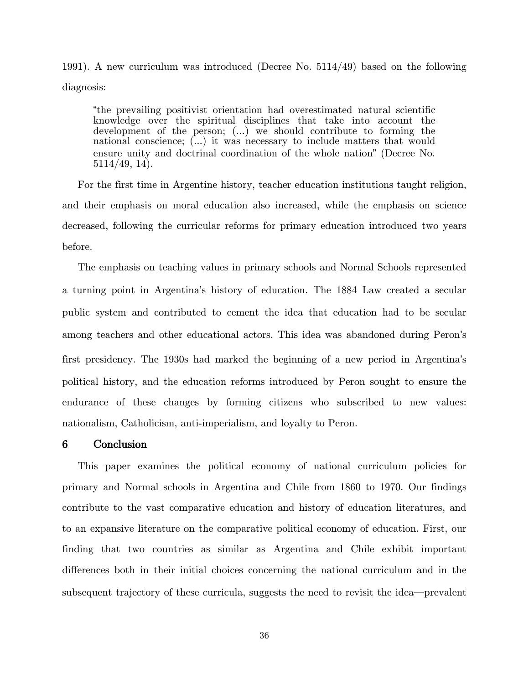1991). A new curriculum was introduced (Decree No. 5114/49) based on the following diagnosis:

"the prevailing positivist orientation had overestimated natural scientific knowledge over the spiritual disciplines that take into account the development of the person; (...) we should contribute to forming the national conscience; (...) it was necessary to include matters that would ensure unity and doctrinal coordination of the whole nation" (Decree No. 5114/49, 14).

For the first time in Argentine history, teacher education institutions taught religion, and their emphasis on moral education also increased, while the emphasis on science decreased, following the curricular reforms for primary education introduced two years before.

The emphasis on teaching values in primary schools and Normal Schools represented a turning point in Argentina's history of education. The 1884 Law created a secular public system and contributed to cement the idea that education had to be secular among teachers and other educational actors. This idea was abandoned during Peron's first presidency. The 1930s had marked the beginning of a new period in Argentina's political history, and the education reforms introduced by Peron sought to ensure the endurance of these changes by forming citizens who subscribed to new values: nationalism, Catholicism, anti-imperialism, and loyalty to Peron.

# 6 Conclusion

This paper examines the political economy of national curriculum policies for primary and Normal schools in Argentina and Chile from 1860 to 1970. Our findings contribute to the vast comparative education and history of education literatures, and to an expansive literature on the comparative political economy of education. First, our finding that two countries as similar as Argentina and Chile exhibit important differences both in their initial choices concerning the national curriculum and in the subsequent trajectory of these curricula, suggests the need to revisit the idea—prevalent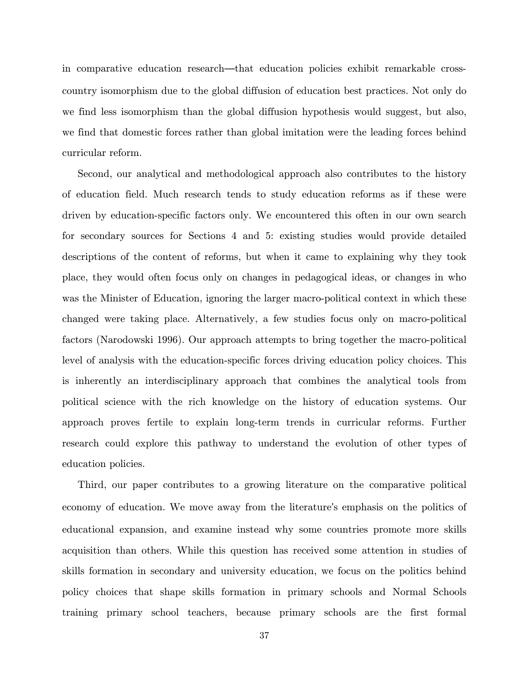in comparative education research—that education policies exhibit remarkable crosscountry isomorphism due to the global diffusion of education best practices. Not only do we find less isomorphism than the global diffusion hypothesis would suggest, but also, we find that domestic forces rather than global imitation were the leading forces behind curricular reform.

Second, our analytical and methodological approach also contributes to the history of education field. Much research tends to study education reforms as if these were driven by education-specific factors only. We encountered this often in our own search for secondary sources for Sections 4 and 5: existing studies would provide detailed descriptions of the content of reforms, but when it came to explaining why they took place, they would often focus only on changes in pedagogical ideas, or changes in who was the Minister of Education, ignoring the larger macro-political context in which these changed were taking place. Alternatively, a few studies focus only on macro-political factors (Narodowski 1996). Our approach attempts to bring together the macro-political level of analysis with the education-specific forces driving education policy choices. This is inherently an interdisciplinary approach that combines the analytical tools from political science with the rich knowledge on the history of education systems. Our approach proves fertile to explain long-term trends in curricular reforms. Further research could explore this pathway to understand the evolution of other types of education policies.

Third, our paper contributes to a growing literature on the comparative political economy of education. We move away from the literature's emphasis on the politics of educational expansion, and examine instead why some countries promote more skills acquisition than others. While this question has received some attention in studies of skills formation in secondary and university education, we focus on the politics behind policy choices that shape skills formation in primary schools and Normal Schools training primary school teachers, because primary schools are the first formal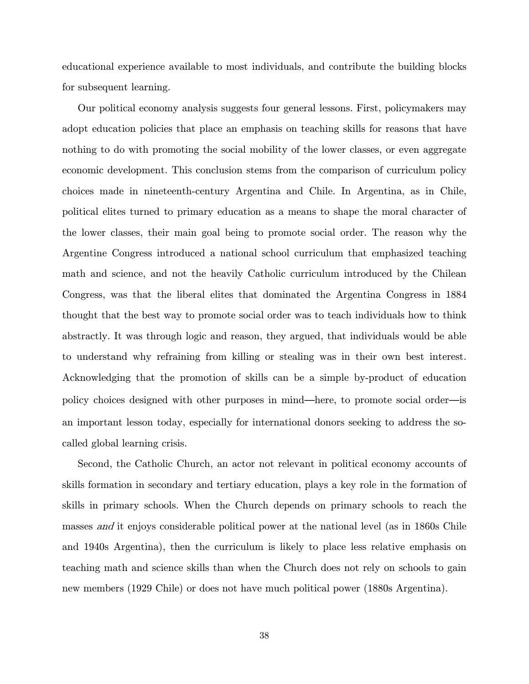educational experience available to most individuals, and contribute the building blocks for subsequent learning.

Our political economy analysis suggests four general lessons. First, policymakers may adopt education policies that place an emphasis on teaching skills for reasons that have nothing to do with promoting the social mobility of the lower classes, or even aggregate economic development. This conclusion stems from the comparison of curriculum policy choices made in nineteenth-century Argentina and Chile. In Argentina, as in Chile, political elites turned to primary education as a means to shape the moral character of the lower classes, their main goal being to promote social order. The reason why the Argentine Congress introduced a national school curriculum that emphasized teaching math and science, and not the heavily Catholic curriculum introduced by the Chilean Congress, was that the liberal elites that dominated the Argentina Congress in 1884 thought that the best way to promote social order was to teach individuals how to think abstractly. It was through logic and reason, they argued, that individuals would be able to understand why refraining from killing or stealing was in their own best interest. Acknowledging that the promotion of skills can be a simple by-product of education policy choices designed with other purposes in mind—here, to promote social order—is an important lesson today, especially for international donors seeking to address the socalled global learning crisis.

Second, the Catholic Church, an actor not relevant in political economy accounts of skills formation in secondary and tertiary education, plays a key role in the formation of skills in primary schools. When the Church depends on primary schools to reach the masses and it enjoys considerable political power at the national level (as in 1860s Chile and 1940s Argentina), then the curriculum is likely to place less relative emphasis on teaching math and science skills than when the Church does not rely on schools to gain new members (1929 Chile) or does not have much political power (1880s Argentina).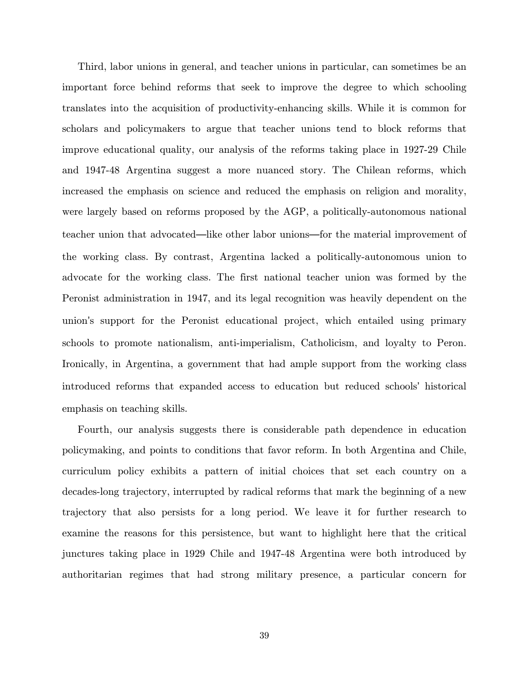Third, labor unions in general, and teacher unions in particular, can sometimes be an important force behind reforms that seek to improve the degree to which schooling translates into the acquisition of productivity-enhancing skills. While it is common for scholars and policymakers to argue that teacher unions tend to block reforms that improve educational quality, our analysis of the reforms taking place in 1927-29 Chile and 1947-48 Argentina suggest a more nuanced story. The Chilean reforms, which increased the emphasis on science and reduced the emphasis on religion and morality, were largely based on reforms proposed by the AGP, a politically-autonomous national teacher union that advocated—like other labor unions—for the material improvement of the working class. By contrast, Argentina lacked a politically-autonomous union to advocate for the working class. The first national teacher union was formed by the Peronist administration in 1947, and its legal recognition was heavily dependent on the union's support for the Peronist educational project, which entailed using primary schools to promote nationalism, anti-imperialism, Catholicism, and loyalty to Peron. Ironically, in Argentina, a government that had ample support from the working class introduced reforms that expanded access to education but reduced schools' historical emphasis on teaching skills.

Fourth, our analysis suggests there is considerable path dependence in education policymaking, and points to conditions that favor reform. In both Argentina and Chile, curriculum policy exhibits a pattern of initial choices that set each country on a decades-long trajectory, interrupted by radical reforms that mark the beginning of a new trajectory that also persists for a long period. We leave it for further research to examine the reasons for this persistence, but want to highlight here that the critical junctures taking place in 1929 Chile and 1947-48 Argentina were both introduced by authoritarian regimes that had strong military presence, a particular concern for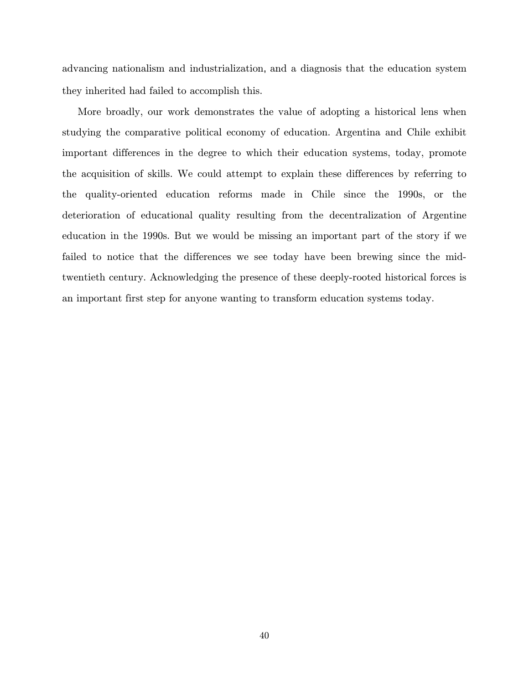advancing nationalism and industrialization, and a diagnosis that the education system they inherited had failed to accomplish this.

More broadly, our work demonstrates the value of adopting a historical lens when studying the comparative political economy of education. Argentina and Chile exhibit important differences in the degree to which their education systems, today, promote the acquisition of skills. We could attempt to explain these differences by referring to the quality-oriented education reforms made in Chile since the 1990s, or the deterioration of educational quality resulting from the decentralization of Argentine education in the 1990s. But we would be missing an important part of the story if we failed to notice that the differences we see today have been brewing since the midtwentieth century. Acknowledging the presence of these deeply-rooted historical forces is an important first step for anyone wanting to transform education systems today.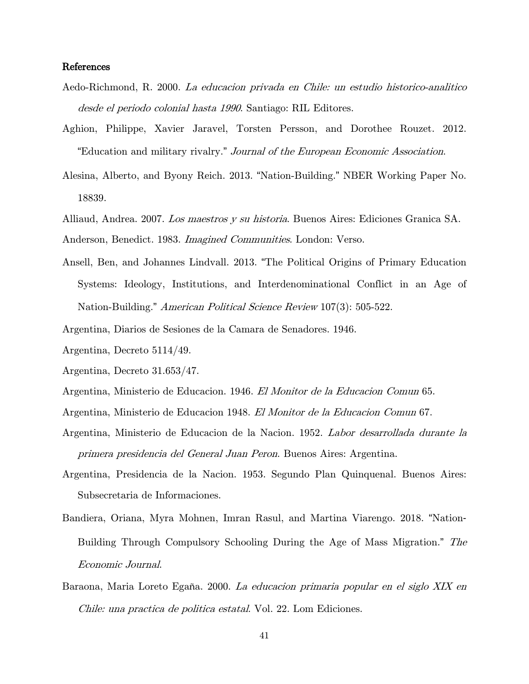#### References

- Aedo-Richmond, R. 2000. La educacion privada en Chile: un estudio historico-analitico desde el periodo colonial hasta 1990. Santiago: RIL Editores.
- Aghion, Philippe, Xavier Jaravel, Torsten Persson, and Dorothee Rouzet. 2012. "Education and military rivalry." Journal of the European Economic Association.
- Alesina, Alberto, and Byony Reich. 2013. "Nation-Building." NBER Working Paper No. 18839.
- Alliaud, Andrea. 2007. Los maestros y su historia. Buenos Aires: Ediciones Granica SA.
- Anderson, Benedict. 1983. *Imagined Communities*. London: Verso.
- Ansell, Ben, and Johannes Lindvall. 2013. "The Political Origins of Primary Education Systems: Ideology, Institutions, and Interdenominational Conflict in an Age of Nation-Building." American Political Science Review 107(3): 505-522.
- Argentina, Diarios de Sesiones de la Camara de Senadores. 1946.
- Argentina, Decreto 5114/49.
- Argentina, Decreto 31.653/47.
- Argentina, Ministerio de Educacion. 1946. El Monitor de la Educacion Comun 65.
- Argentina, Ministerio de Educacion 1948. El Monitor de la Educacion Comun 67.
- Argentina, Ministerio de Educacion de la Nacion. 1952. Labor desarrollada durante la primera presidencia del General Juan Peron. Buenos Aires: Argentina.
- Argentina, Presidencia de la Nacion. 1953. Segundo Plan Quinquenal. Buenos Aires: Subsecretaria de Informaciones.
- Bandiera, Oriana, Myra Mohnen, Imran Rasul, and Martina Viarengo. 2018. "Nation‐ Building Through Compulsory Schooling During the Age of Mass Migration." The Economic Journal.
- Baraona, Maria Loreto Egaña. 2000. La educacion primaria popular en el siglo XIX en Chile: una practica de politica estatal. Vol. 22. Lom Ediciones.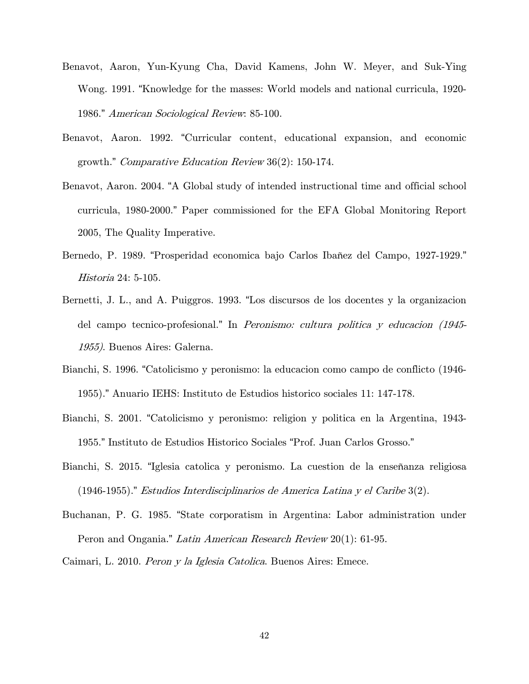- Benavot, Aaron, Yun-Kyung Cha, David Kamens, John W. Meyer, and Suk-Ying Wong. 1991. "Knowledge for the masses: World models and national curricula, 1920- 1986." American Sociological Review: 85-100.
- Benavot, Aaron. 1992. "Curricular content, educational expansion, and economic growth." Comparative Education Review 36(2): 150-174.
- Benavot, Aaron. 2004. "A Global study of intended instructional time and official school curricula, 1980-2000." Paper commissioned for the EFA Global Monitoring Report 2005, The Quality Imperative.
- Bernedo, P. 1989. "Prosperidad economica bajo Carlos Ibañez del Campo, 1927-1929." Historia 24: 5-105.
- Bernetti, J. L., and A. Puiggros. 1993. "Los discursos de los docentes y la organizacion del campo tecnico-profesional." In Peronismo: cultura politica y educacion (1945-1955). Buenos Aires: Galerna.
- Bianchi, S. 1996. "Catolicismo y peronismo: la educacion como campo de conflicto (1946- 1955)." Anuario IEHS: Instituto de Estudios historico sociales 11: 147-178.
- Bianchi, S. 2001. "Catolicismo y peronismo: religion y politica en la Argentina, 1943- 1955." Instituto de Estudios Historico Sociales "Prof. Juan Carlos Grosso."
- Bianchi, S. 2015. "Iglesia catolica y peronismo. La cuestion de la enseñanza religiosa (1946-1955)." Estudios Interdisciplinarios de America Latina y el Caribe 3(2).
- Buchanan, P. G. 1985. "State corporatism in Argentina: Labor administration under Peron and Ongania." Latin American Research Review 20(1): 61-95.
- Caimari, L. 2010. Peron y la Iglesia Catolica. Buenos Aires: Emece.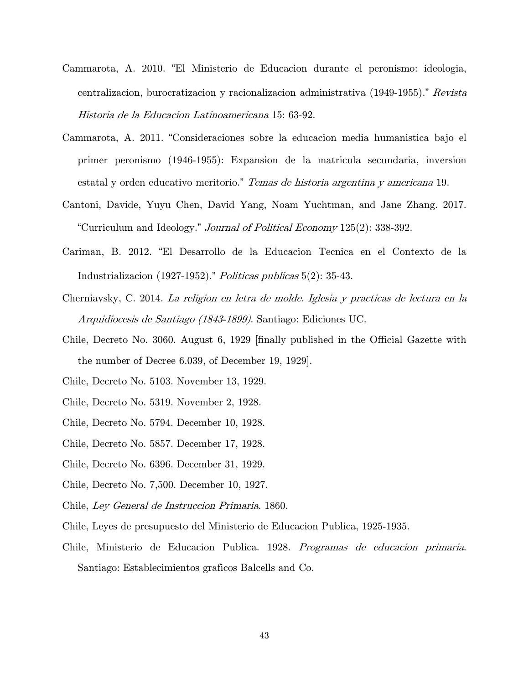- Cammarota, A. 2010. "El Ministerio de Educacion durante el peronismo: ideologia, centralizacion, burocratizacion y racionalizacion administrativa (1949-1955)." Revista Historia de la Educacion Latinoamericana 15: 63-92.
- Cammarota, A. 2011. "Consideraciones sobre la educacion media humanistica bajo el primer peronismo (1946-1955): Expansion de la matricula secundaria, inversion estatal y orden educativo meritorio." Temas de historia argentina y americana 19.
- Cantoni, Davide, Yuyu Chen, David Yang, Noam Yuchtman, and Jane Zhang. 2017. "Curriculum and Ideology." Journal of Political Economy 125(2): 338-392.
- Cariman, B. 2012. "El Desarrollo de la Educacion Tecnica en el Contexto de la Industrializacion (1927-1952)." Politicas publicas 5(2): 35-43.
- Cherniavsky, C. 2014. La religion en letra de molde. Iglesia y practicas de lectura en la Arquidiocesis de Santiago (1843-1899). Santiago: Ediciones UC.
- Chile, Decreto No. 3060. August 6, 1929 [finally published in the Official Gazette with the number of Decree 6.039, of December 19, 1929].
- Chile, Decreto No. 5103. November 13, 1929.
- Chile, Decreto No. 5319. November 2, 1928.
- Chile, Decreto No. 5794. December 10, 1928.
- Chile, Decreto No. 5857. December 17, 1928.
- Chile, Decreto No. 6396. December 31, 1929.
- Chile, Decreto No. 7,500. December 10, 1927.
- Chile, Ley General de Instruccion Primaria. 1860.
- Chile, Leyes de presupuesto del Ministerio de Educacion Publica, 1925-1935.
- Chile, Ministerio de Educacion Publica. 1928. Programas de educacion primaria. Santiago: Establecimientos graficos Balcells and Co.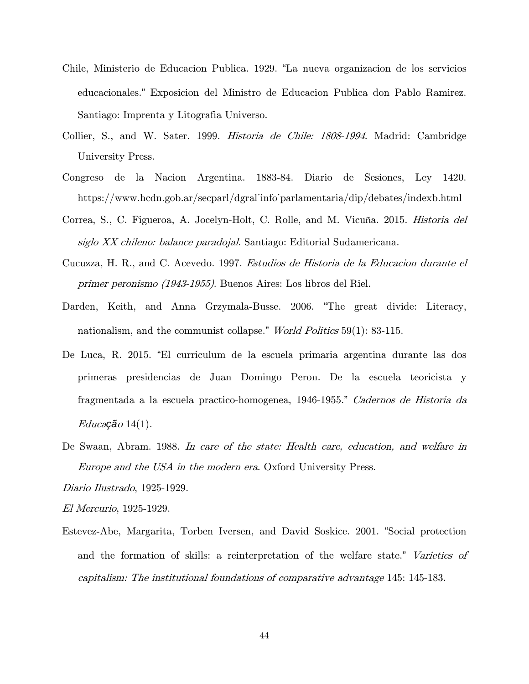- Chile, Ministerio de Educacion Publica. 1929. "La nueva organizacion de los servicios educacionales." Exposicion del Ministro de Educacion Publica don Pablo Ramirez. Santiago: Imprenta y Litografia Universo.
- Collier, S., and W. Sater. 1999. Historia de Chile: 1808-1994. Madrid: Cambridge University Press.
- Congreso de la Nacion Argentina. 1883-84. Diario de Sesiones, Ley 1420. https://www.hcdn.gob.ar/secparl/dgral\_info\_parlamentaria/dip/debates/indexb.html
- Correa, S., C. Figueroa, A. Jocelyn-Holt, C. Rolle, and M. Vicuña. 2015. Historia del siglo XX chileno: balance paradojal. Santiago: Editorial Sudamericana.
- Cucuzza, H. R., and C. Acevedo. 1997. Estudios de Historia de la Educacion durante el primer peronismo (1943-1955). Buenos Aires: Los libros del Riel.
- Darden, Keith, and Anna Grzymala-Busse. 2006. "The great divide: Literacy, nationalism, and the communist collapse." *World Politics* 59(1): 83-115.
- De Luca, R. 2015. "El curriculum de la escuela primaria argentina durante las dos primeras presidencias de Juan Domingo Peron. De la escuela teoricista y fragmentada a la escuela practico-homogenea, 1946-1955." Cadernos de Historia da Educa*çã*<sup>o</sup> 14(1).
- De Swaan, Abram. 1988. In care of the state: Health care, education, and welfare in Europe and the USA in the modern era. Oxford University Press.

Diario Ilustrado, 1925-1929.

El Mercurio, 1925-1929.

Estevez-Abe, Margarita, Torben Iversen, and David Soskice. 2001. "Social protection and the formation of skills: a reinterpretation of the welfare state." Varieties of capitalism: The institutional foundations of comparative advantage 145: 145-183.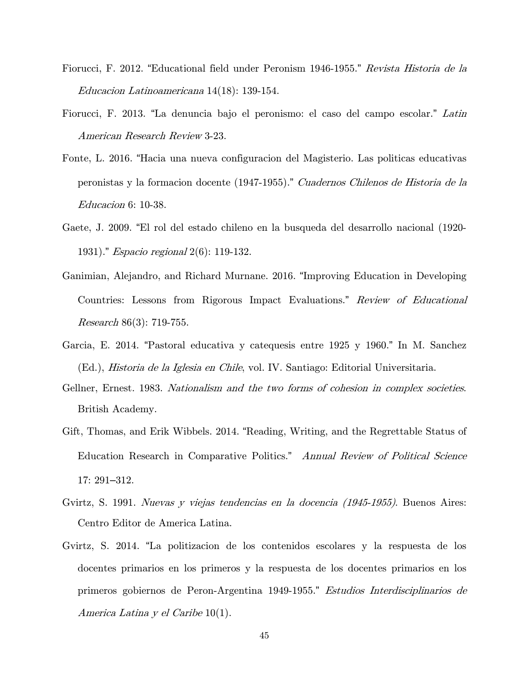- Fiorucci, F. 2012. "Educational field under Peronism 1946-1955." Revista Historia de la Educacion Latinoamericana 14(18): 139-154.
- Fiorucci, F. 2013. "La denuncia bajo el peronismo: el caso del campo escolar." Latin American Research Review 3-23.
- Fonte, L. 2016. "Hacia una nueva configuracion del Magisterio. Las politicas educativas peronistas y la formacion docente (1947-1955)." Cuadernos Chilenos de Historia de la Educacion 6: 10-38.
- Gaete, J. 2009. "El rol del estado chileno en la busqueda del desarrollo nacional (1920- 1931)." Espacio regional 2(6): 119-132.
- Ganimian, Alejandro, and Richard Murnane. 2016. "Improving Education in Developing Countries: Lessons from Rigorous Impact Evaluations." Review of Educational *Research* 86 $(3)$ : 719-755.
- Garcia, E. 2014. "Pastoral educativa y catequesis entre 1925 y 1960." In M. Sanchez (Ed.), Historia de la Iglesia en Chile, vol. IV. Santiago: Editorial Universitaria.
- Gellner, Ernest. 1983. Nationalism and the two forms of cohesion in complex societies. British Academy.
- Gift, Thomas, and Erik Wibbels. 2014. "Reading, Writing, and the Regrettable Status of Education Research in Comparative Politics." Annual Review of Political Science 17: 291–312.
- Gvirtz, S. 1991. Nuevas y viejas tendencias en la docencia (1945-1955). Buenos Aires: Centro Editor de America Latina.
- Gvirtz, S. 2014. "La politizacion de los contenidos escolares y la respuesta de los docentes primarios en los primeros y la respuesta de los docentes primarios en los primeros gobiernos de Peron-Argentina 1949-1955." Estudios Interdisciplinarios de America Latina y el Caribe 10(1).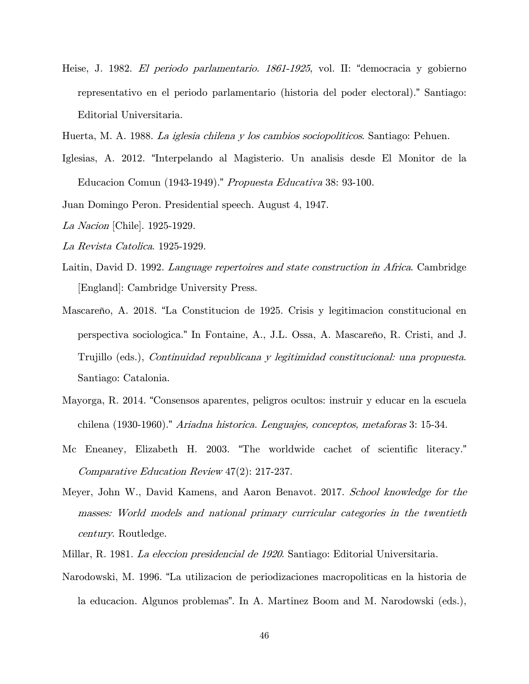- Heise, J. 1982. El periodo parlamentario. 1861-1925, vol. II: "democracia y gobierno representativo en el periodo parlamentario (historia del poder electoral)." Santiago: Editorial Universitaria.
- Huerta, M. A. 1988. La iglesia chilena y los cambios sociopoliticos. Santiago: Pehuen.
- Iglesias, A. 2012. "Interpelando al Magisterio. Un analisis desde El Monitor de la Educacion Comun (1943-1949)." Propuesta Educativa 38: 93-100.
- Juan Domingo Peron. Presidential speech. August 4, 1947.
- La Nacion [Chile]. 1925-1929.
- La Revista Catolica. 1925-1929.
- Laitin, David D. 1992. Language repertoires and state construction in Africa. Cambridge [England]: Cambridge University Press.
- Mascareño, A. 2018. "La Constitucion de 1925. Crisis y legitimacion constitucional en perspectiva sociologica." In Fontaine, A., J.L. Ossa, A. Mascareño, R. Cristi, and J. Trujillo (eds.), Continuidad republicana y legitimidad constitucional: una propuesta. Santiago: Catalonia.
- Mayorga, R. 2014. "Consensos aparentes, peligros ocultos: instruir y educar en la escuela chilena (1930-1960)." Ariadna historica. Lenguajes, conceptos, metaforas 3: 15-34.
- Mc Eneaney, Elizabeth H. 2003. "The worldwide cachet of scientific literacy." Comparative Education Review 47(2): 217-237.
- Meyer, John W., David Kamens, and Aaron Benavot. 2017. School knowledge for the masses: World models and national primary curricular categories in the twentieth century. Routledge.
- Millar, R. 1981. La eleccion presidencial de 1920. Santiago: Editorial Universitaria.
- Narodowski, M. 1996. "La utilizacion de periodizaciones macropoliticas en la historia de la educacion. Algunos problemas". In A. Martinez Boom and M. Narodowski (eds.),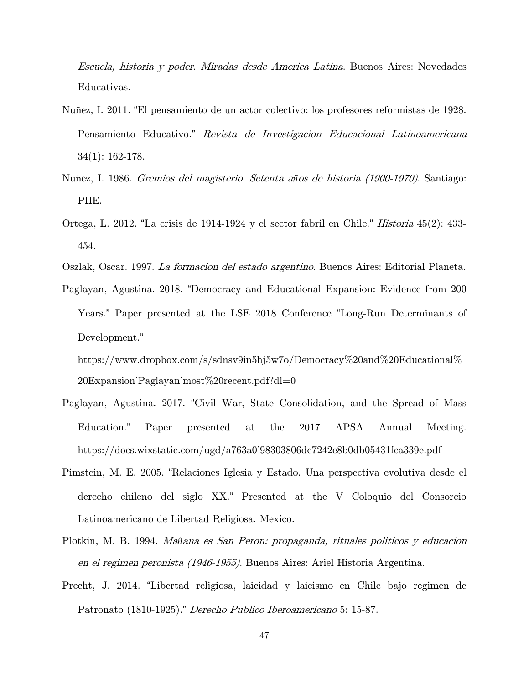Escuela, historia y poder. Miradas desde America Latina. Buenos Aires: Novedades Educativas.

- Nuñez, I. 2011. "El pensamiento de un actor colectivo: los profesores reformistas de 1928. Pensamiento Educativo." Revista de Investigacion Educacional Latinoamericana 34(1): 162-178.
- Nuñez, I. 1986. Gremios del magisterio. Setenta a*ñ*os de historia (1900-1970). Santiago: PIIE.
- Ortega, L. 2012. "La crisis de 1914-1924 y el sector fabril en Chile." Historia 45(2): 433- 454.
- Oszlak, Oscar. 1997. La formacion del estado argentino. Buenos Aires: Editorial Planeta.
- Paglayan, Agustina. 2018. "Democracy and Educational Expansion: Evidence from 200 Years." Paper presented at the LSE 2018 Conference "Long-Run Determinants of Development."

[https://www.dropbox.com/s/sdnsv9in5hj5w7o/Democracy%20and%20Educational%](https://www.dropbox.com/s/sdnsv9in5hj5w7o/Democracy%20and%20Educational%20Expansion_Paglayan_most%20recent.pdf?dl=0) 20Expansion Paglayan most%20recent.pdf?dl=0

- Paglayan, Agustina. 2017. "Civil War, State Consolidation, and the Spread of Mass Education." Paper presented at the 2017 APSA Annual Meeting. [https://docs.wixstatic.com/ugd/a763a0\\_98303806de7242e8b0db05431fca339e.pdf](https://docs.wixstatic.com/ugd/a763a0_98303806de7242e8b0db05431fca339e.pdf)
- Pimstein, M. E. 2005. "Relaciones Iglesia y Estado. Una perspectiva evolutiva desde el derecho chileno del siglo XX." Presented at the V Coloquio del Consorcio Latinoamericano de Libertad Religiosa. Mexico.
- Plotkin, M. B. 1994. Ma*ñ*ana es San Peron: propaganda, rituales politicos y educacion en el regimen peronista (1946-1955). Buenos Aires: Ariel Historia Argentina.
- Precht, J. 2014. "Libertad religiosa, laicidad y laicismo en Chile bajo regimen de Patronato (1810-1925)." Derecho Publico Iberoamericano 5: 15-87.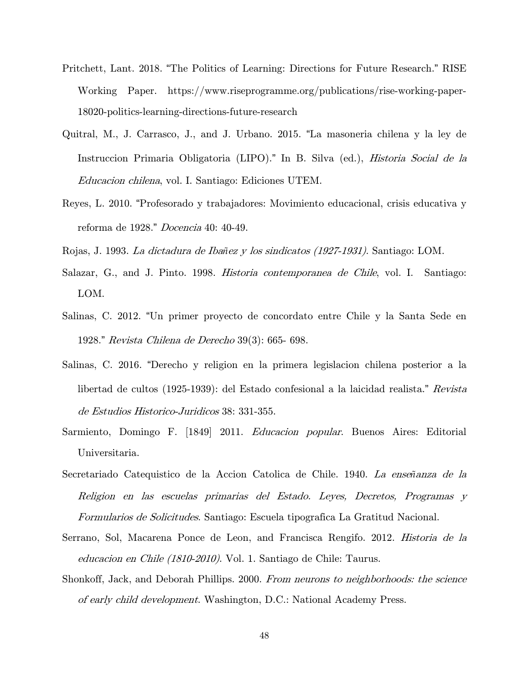- Pritchett, Lant. 2018. "The Politics of Learning: Directions for Future Research." RISE Working Paper. https://www.riseprogramme.org/publications/rise-working-paper-18020-politics-learning-directions-future-research
- Quitral, M., J. Carrasco, J., and J. Urbano. 2015. "La masoneria chilena y la ley de Instruccion Primaria Obligatoria (LIPO)." In B. Silva (ed.), Historia Social de la Educacion chilena, vol. I. Santiago: Ediciones UTEM.
- Reyes, L. 2010. "Profesorado y trabajadores: Movimiento educacional, crisis educativa y reforma de 1928." *Docencia* 40: 40-49.
- Rojas, J. 1993. La dictadura de Iba*ñ*ez y los sindicatos (1927-1931). Santiago: LOM.
- Salazar, G., and J. Pinto. 1998. Historia contemporanea de Chile, vol. I. Santiago: LOM.
- Salinas, C. 2012. "Un primer proyecto de concordato entre Chile y la Santa Sede en 1928." Revista Chilena de Derecho 39(3): 665- 698.
- Salinas, C. 2016. "Derecho y religion en la primera legislacion chilena posterior a la libertad de cultos (1925-1939): del Estado confesional a la laicidad realista." Revista de Estudios Historico-Juridicos 38: 331-355.
- Sarmiento, Domingo F. [1849] 2011. Educacion popular. Buenos Aires: Editorial Universitaria.
- Secretariado Catequistico de la Accion Catolica de Chile. 1940. La ense*ñ*anza de la Religion en las escuelas primarias del Estado. Leyes, Decretos, Programas y Formularios de Solicitudes. Santiago: Escuela tipografica La Gratitud Nacional.
- Serrano, Sol, Macarena Ponce de Leon, and Francisca Rengifo. 2012. Historia de la educacion en Chile (1810-2010). Vol. 1. Santiago de Chile: Taurus.
- Shonkoff, Jack, and Deborah Phillips. 2000. From neurons to neighborhoods: the science of early child development. Washington, D.C.: National Academy Press.